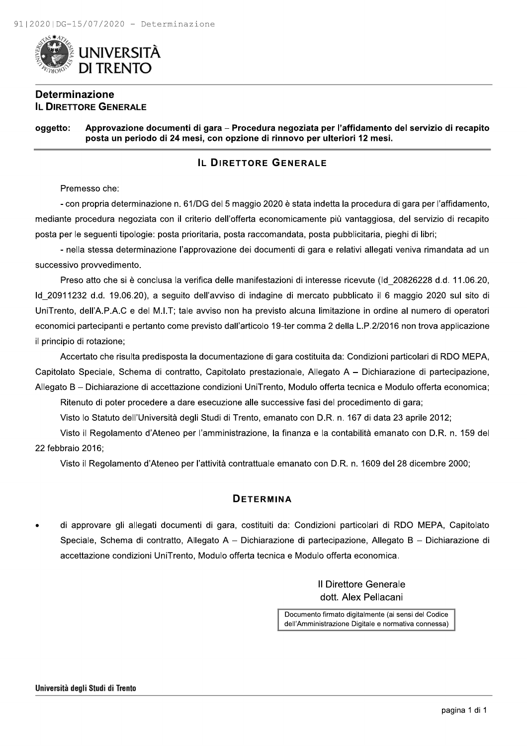

#### **Determinazione IL DIRETTORE GENERALE**

Approvazione documenti di gara - Procedura negoziata per l'affidamento del servizio di recapito oggetto: posta un periodo di 24 mesi, con opzione di rinnovo per ulteriori 12 mesi.

#### **IL DIRETTORE GENERALE**

Premesso che:

- con propria determinazione n. 61/DG del 5 maggio 2020 è stata indetta la procedura di gara per l'affidamento, mediante procedura negoziata con il criterio dell'offerta economicamente più vantaggiosa, del servizio di recapito posta per le seguenti tipologie: posta prioritaria, posta raccomandata, posta pubblicitaria, pieghi di libri;

- nella stessa determinazione l'approvazione dei documenti di gara e relativi allegati veniva rimandata ad un successivo provvedimento.

Preso atto che si è conclusa la verifica delle manifestazioni di interesse ricevute (Id\_20826228 d.d. 11.06.20, ld 20911232 d.d. 19.06.20), a seguito dell'avviso di indagine di mercato pubblicato il 6 maggio 2020 sul sito di UniTrento, dell'A.P.A.C e del M.I.T; tale avviso non ha previsto alcuna limitazione in ordine al numero di operatori economici partecipanti e pertanto come previsto dall'articolo 19-ter comma 2 della L.P.2/2016 non trova applicazione il principio di rotazione;

Accertato che risulta predisposta la documentazione di gara costituita da: Condizioni particolari di RDO MEPA, Capitolato Speciale, Schema di contratto, Capitolato prestazionale, Allegato A – Dichiarazione di partecipazione, Allegato B - Dichiarazione di accettazione condizioni UniTrento, Modulo offerta tecnica e Modulo offerta economica;

Ritenuto di poter procedere a dare esecuzione alle successive fasi del procedimento di gara;

Visto lo Statuto dell'Università degli Studi di Trento, emanato con D.R. n. 167 di data 23 aprile 2012;

Visto il Regolamento d'Ateneo per l'amministrazione, la finanza e la contabilità emanato con D.R. n. 159 del 22 febbraio 2016:

Visto il Regolamento d'Ateneo per l'attività contrattuale emanato con D.R. n. 1609 del 28 dicembre 2000;

#### **DETERMINA**

di approvare gli allegati documenti di gara, costituiti da: Condizioni particolari di RDO MEPA, Capitolato Speciale, Schema di contratto, Allegato A – Dichiarazione di partecipazione, Allegato B – Dichiarazione di accettazione condizioni UniTrento, Modulo offerta tecnica e Modulo offerta economica.

> **Il Direttore Generale** dott. Alex Pellacani

Documento firmato digitalmente (ai sensi del Codice dell'Amministrazione Digitale e normativa connessa)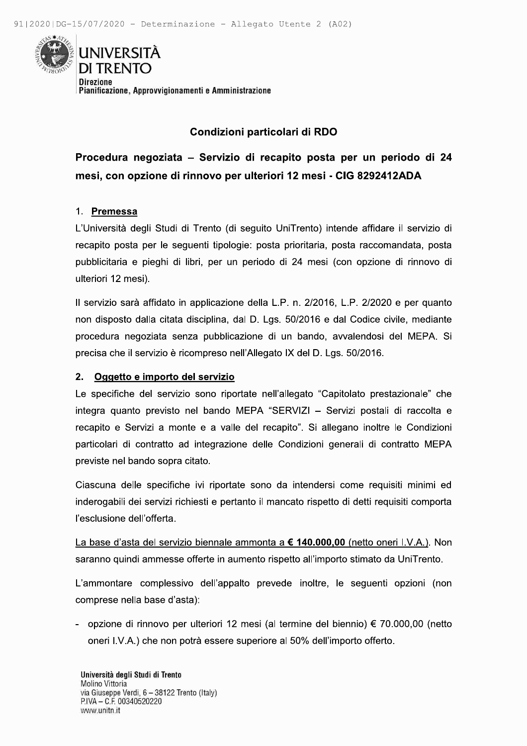

## Condizioni particolari di RDO

Procedura negoziata - Servizio di recapito posta per un periodo di 24 mesi, con opzione di rinnovo per ulteriori 12 mesi - CIG 8292412ADA

#### 1. Premessa

L'Università degli Studi di Trento (di seguito UniTrento) intende affidare il servizio di recapito posta per le sequenti tipologie: posta prioritaria, posta raccomandata, posta pubblicitaria e pieghi di libri, per un periodo di 24 mesi (con opzione di rinnovo di ulteriori 12 mesi).

Il servizio sarà affidato in applicazione della L.P. n. 2/2016, L.P. 2/2020 e per quanto non disposto dalla citata disciplina, dal D. Lgs. 50/2016 e dal Codice civile, mediante procedura negoziata senza pubblicazione di un bando, avvalendosi del MEPA. Si precisa che il servizio è ricompreso nell'Allegato IX del D. Lgs. 50/2016.

#### 2. Oggetto e importo del servizio

Le specifiche del servizio sono riportate nell'allegato "Capitolato prestazionale" che integra quanto previsto nel bando MEPA "SERVIZI - Servizi postali di raccolta e recapito e Servizi a monte e a valle del recapito". Si allegano inoltre le Condizioni particolari di contratto ad integrazione delle Condizioni generali di contratto MEPA previste nel bando sopra citato.

Ciascuna delle specifiche ivi riportate sono da intendersi come requisiti minimi ed inderogabili dei servizi richiesti e pertanto il mancato rispetto di detti reguisiti comporta l'esclusione dell'offerta.

La base d'asta del servizio biennale ammonta a € 140.000,00 (netto oneri I.V.A.). Non saranno quindi ammesse offerte in aumento rispetto all'importo stimato da UniTrento.

L'ammontare complessivo dell'appalto prevede inoltre, le seguenti opzioni (non comprese nella base d'asta):

- opzione di rinnovo per ulteriori 12 mesi (al termine del biennio) € 70.000,00 (netto oneri I.V.A.) che non potrà essere superiore al 50% dell'importo offerto.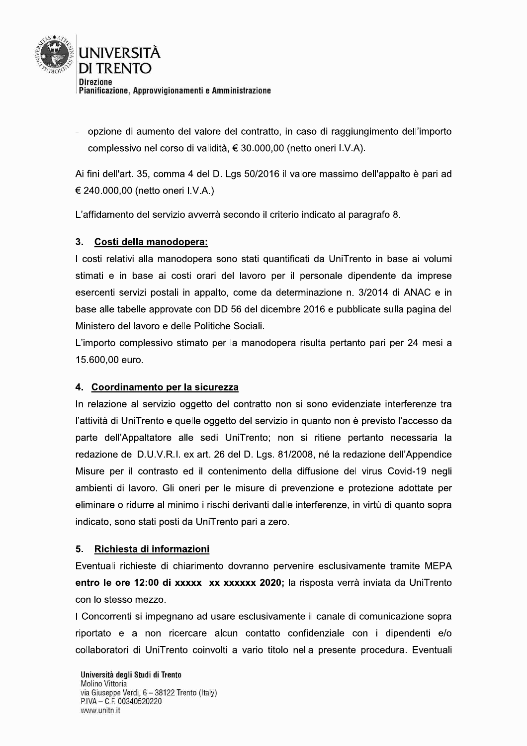

opzione di aumento del valore del contratto, in caso di raggiungimento dell'importo complessivo nel corso di validità, € 30.000,00 (netto oneri I.V.A).

Ai fini dell'art. 35, comma 4 del D. Lgs 50/2016 il valore massimo dell'appalto è pari ad € 240.000,00 (netto oneri I.V.A.)

L'affidamento del servizio avverrà secondo il criterio indicato al paragrafo 8.

#### Costi della manodopera:  $3<sub>1</sub>$

I costi relativi alla manodopera sono stati quantificati da UniTrento in base ai volumi stimati e in base ai costi orari del lavoro per il personale dipendente da imprese esercenti servizi postali in appalto, come da determinazione n. 3/2014 di ANAC e in base alle tabelle approvate con DD 56 del dicembre 2016 e pubblicate sulla pagina del Ministero del lavoro e delle Politiche Sociali.

L'importo complessivo stimato per la manodopera risulta pertanto pari per 24 mesi a 15.600,00 euro.

#### 4. Coordinamento per la sicurezza

In relazione al servizio oggetto del contratto non si sono evidenziate interferenze tra l'attività di UniTrento e quelle oggetto del servizio in quanto non è previsto l'accesso da parte dell'Appaltatore alle sedi UniTrento; non si ritiene pertanto necessaria la redazione del D.U.V.R.I. ex art. 26 del D. Lgs. 81/2008, né la redazione dell'Appendice Misure per il contrasto ed il contenimento della diffusione del virus Covid-19 negli ambienti di lavoro. Gli oneri per le misure di prevenzione e protezione adottate per eliminare o ridurre al minimo i rischi derivanti dalle interferenze, in virtù di quanto sopra indicato, sono stati posti da UniTrento pari a zero.

#### $5<sub>1</sub>$ Richiesta di informazioni

Eventuali richieste di chiarimento dovranno pervenire esclusivamente tramite MEPA entro le ore 12:00 di xxxxx xx xxxxxx 2020; la risposta verrà inviata da UniTrento con lo stesso mezzo.

I Concorrenti si impegnano ad usare esclusivamente il canale di comunicazione sopra riportato e a non ricercare alcun contatto confidenziale con i dipendenti e/o collaboratori di UniTrento coinvolti a vario titolo nella presente procedura. Eventuali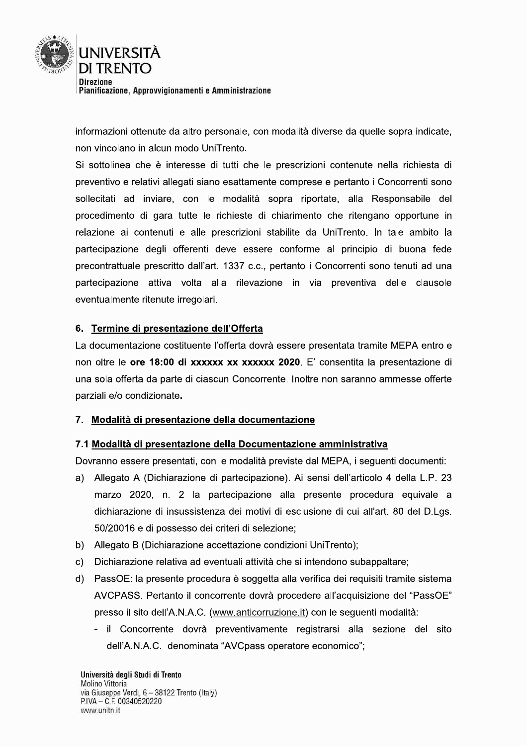

informazioni ottenute da altro personale, con modalità diverse da quelle sopra indicate, non vincolano in alcun modo UniTrento.

Si sottolinea che è interesse di tutti che le prescrizioni contenute nella richiesta di preventivo e relativi allegati siano esattamente comprese e pertanto i Concorrenti sono sollecitati ad inviare, con le modalità sopra riportate, alla Responsabile del procedimento di gara tutte le richieste di chiarimento che ritengano opportune in relazione ai contenuti e alle prescrizioni stabilite da UniTrento. In tale ambito la partecipazione degli offerenti deve essere conforme al principio di buona fede precontrattuale prescritto dall'art. 1337 c.c., pertanto i Concorrenti sono tenuti ad una partecipazione attiva volta alla rilevazione in via preventiva delle clausole eventualmente ritenute irregolari.

#### 6. Termine di presentazione dell'Offerta

La documentazione costituente l'offerta dovrà essere presentata tramite MEPA entro e non oltre le ore 18:00 di xxxxxx xx xxxxxx 2020. E' consentita la presentazione di una sola offerta da parte di ciascun Concorrente. Inoltre non saranno ammesse offerte parziali e/o condizionate.

#### 7. Modalità di presentazione della documentazione

#### 7.1 Modalità di presentazione della Documentazione amministrativa

Dovranno essere presentati, con le modalità previste dal MEPA, i sequenti documenti:

- a) Allegato A (Dichiarazione di partecipazione). Ai sensi dell'articolo 4 della L.P. 23 marzo 2020, n. 2 la partecipazione alla presente procedura equivale a dichiarazione di insussistenza dei motivi di esclusione di cui all'art. 80 del D.Lgs. 50/20016 e di possesso dei criteri di selezione;
- b) Allegato B (Dichiarazione accettazione condizioni UniTrento);
- Dichiarazione relativa ad eventuali attività che si intendono subappaltare; C)
- d) PassOE: la presente procedura è soggetta alla verifica dei requisiti tramite sistema AVCPASS. Pertanto il concorrente dovrà procedere all'acquisizione del "PassOE" presso il sito dell'A.N.A.C. (www.anticorruzione.it) con le seguenti modalità:
	- il Concorrente dovrà preventivamente registrarsi alla sezione del sito dell'A.N.A.C. denominata "AVCpass operatore economico";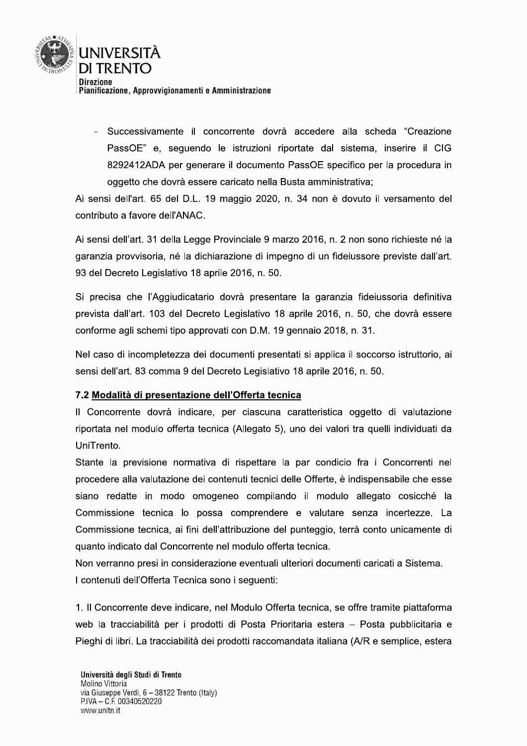

- Successivamente il concorrente dovrà accedere alla scheda "Creazione PassOE" e, seguendo le istruzioni riportate dal sistema, inserire il CIG 8292412ADA per generare il documento PassOE specifico per la procedura in oggetto che dovrà essere caricato nella Busta amministrativa;

Ai sensi dell'art. 65 del D.L. 19 maggio 2020, n. 34 non è dovuto il versamento del contributo a favore dell'ANAC.

Ai sensi dell'art. 31 della Legge Provinciale 9 marzo 2016, n. 2 non sono richieste né la garanzia provvisoria, né la dichiarazione di impegno di un fideiussore previste dall'art. 93 del Decreto Legislativo 18 aprile 2016, n. 50.

Si precisa che l'Aggiudicatario dovrà presentare la garanzia fideiussoria definitiva prevista dall'art. 103 del Decreto Legislativo 18 aprile 2016, n. 50, che dovrà essere conforme agli schemi tipo approvati con D.M. 19 gennaio 2018, n. 31.

Nel caso di incompletezza dei documenti presentati si applica il soccorso istruttorio, ai sensi dell'art. 83 comma 9 del Decreto Legislativo 18 aprile 2016, n. 50.

#### 7.2 Modalità di presentazione dell'Offerta tecnica

Il Concorrente dovrà indicare, per ciascuna caratteristica oggetto di valutazione riportata nel modulo offerta tecnica (Allegato 5), uno dei valori tra quelli individuati da UniTrento.

Stante la previsione normativa di rispettare la par condicio fra i Concorrenti nel procedere alla valutazione dei contenuti tecnici delle Offerte, è indispensabile che esse siano redatte in modo omogeneo compilando il modulo allegato cosicché la Commissione tecnica lo possa comprendere e valutare senza incertezze. La Commissione tecnica, ai fini dell'attribuzione del punteggio, terrà conto unicamente di quanto indicato dal Concorrente nel modulo offerta tecnica.

Non verranno presi in considerazione eventuali ulteriori documenti caricati a Sistema. I contenuti dell'Offerta Tecnica sono i sequenti:

1. Il Concorrente deve indicare, nel Modulo Offerta tecnica, se offre tramite piattaforma web la tracciabilità per i prodotti di Posta Prioritaria estera - Posta pubblicitaria e Pieghi di libri. La tracciabilità dei prodotti raccomandata italiana (A/R e semplice, estera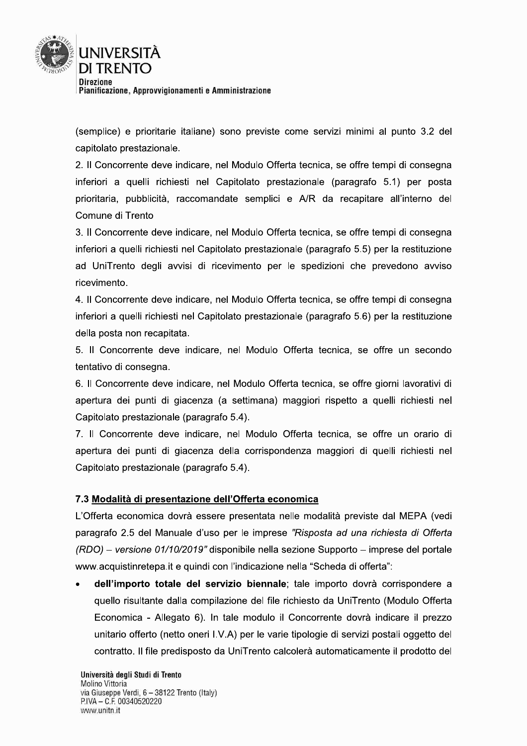

(semplice) e prioritarie italiane) sono previste come servizi minimi al punto 3.2 del capitolato prestazionale.

2. Il Concorrente deve indicare, nel Modulo Offerta tecnica, se offre tempi di consegna inferiori a quelli richiesti nel Capitolato prestazionale (paragrafo 5.1) per posta prioritaria, pubblicità, raccomandate semplici e A/R da recapitare all'interno del Comune di Trento

3. Il Concorrente deve indicare, nel Modulo Offerta tecnica, se offre tempi di consegna inferiori a quelli richiesti nel Capitolato prestazionale (paragrafo 5.5) per la restituzione ad UniTrento degli avvisi di ricevimento per le spedizioni che prevedono avviso ricevimento.

4. Il Concorrente deve indicare, nel Modulo Offerta tecnica, se offre tempi di consegna inferiori a quelli richiesti nel Capitolato prestazionale (paragrafo 5.6) per la restituzione della posta non recapitata.

5. Il Concorrente deve indicare, nel Modulo Offerta tecnica, se offre un secondo tentativo di consegna.

6. Il Concorrente deve indicare, nel Modulo Offerta tecnica, se offre giorni lavorativi di apertura dei punti di giacenza (a settimana) maggiori rispetto a quelli richiesti nel Capitolato prestazionale (paragrafo 5.4).

7. Il Concorrente deve indicare, nel Modulo Offerta tecnica, se offre un orario di apertura dei punti di giacenza della corrispondenza maggiori di quelli richiesti nel Capitolato prestazionale (paragrafo 5.4).

#### 7.3 Modalità di presentazione dell'Offerta economica

L'Offerta economica dovrà essere presentata nelle modalità previste dal MEPA (vedi paragrafo 2.5 del Manuale d'uso per le imprese "Risposta ad una richiesta di Offerta (RDO) – versione 01/10/2019" disponibile nella sezione Supporto – imprese del portale www.acquistinretepa.it e quindi con l'indicazione nella "Scheda di offerta":

dell'importo totale del servizio biennale; tale importo dovrà corrispondere a quello risultante dalla compilazione del file richiesto da UniTrento (Modulo Offerta Economica - Allegato 6). In tale modulo il Concorrente dovrà indicare il prezzo unitario offerto (netto oneri I.V.A) per le varie tipologie di servizi postali oggetto del contratto. Il file predisposto da UniTrento calcolerà automaticamente il prodotto del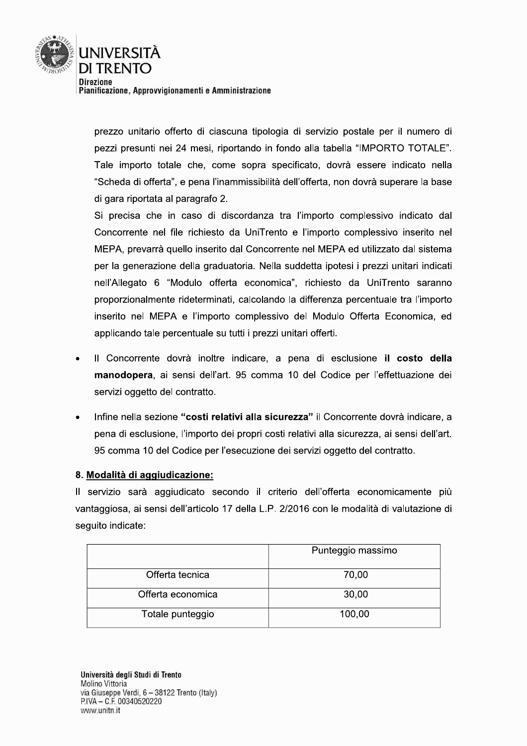

prezzo unitario offerto di ciascuna tipologia di servizio postale per il numero di pezzi presunti nei 24 mesi, riportando in fondo alla tabella "IMPORTO TOTALE". Tale importo totale che, come sopra specificato, dovrà essere indicato nella "Scheda di offerta", e pena l'inammissibilità dell'offerta, non dovrà superare la base di gara riportata al paragrafo 2.

Si precisa che in caso di discordanza tra l'importo complessivo indicato dal Concorrente nel file richiesto da UniTrento e l'importo complessivo inserito nel MEPA, prevarrà quello inserito dal Concorrente nel MEPA ed utilizzato dal sistema per la generazione della graduatoria. Nella suddetta ipotesi i prezzi unitari indicati nell'Allegato 6 "Modulo offerta economica", richiesto da UniTrento saranno proporzionalmente rideterminati, calcolando la differenza percentuale tra l'importo inserito nel MEPA e l'importo complessivo del Modulo Offerta Economica, ed applicando tale percentuale su tutti i prezzi unitari offerti.

- Il Concorrente dovrà inoltre indicare, a pena di esclusione il costo della manodopera, ai sensi dell'art. 95 comma 10 del Codice per l'effettuazione dei servizi oggetto del contratto.
- Infine nella sezione "costi relativi alla sicurezza" il Concorrente dovrà indicare, a pena di esclusione, l'importo dei propri costi relativi alla sicurezza, ai sensi dell'art. 95 comma 10 del Codice per l'esecuzione dei servizi oggetto del contratto.

#### 8. Modalità di aggiudicazione:

Il servizio sarà aggiudicato secondo il criterio dell'offerta economicamente più vantaggiosa, ai sensi dell'articolo 17 della L.P. 2/2016 con le modalità di valutazione di seguito indicate:

|                   | Punteggio massimo |  |  |
|-------------------|-------------------|--|--|
| Offerta tecnica   | 70,00             |  |  |
| Offerta economica | 30,00             |  |  |
| Totale punteggio  | 100,00            |  |  |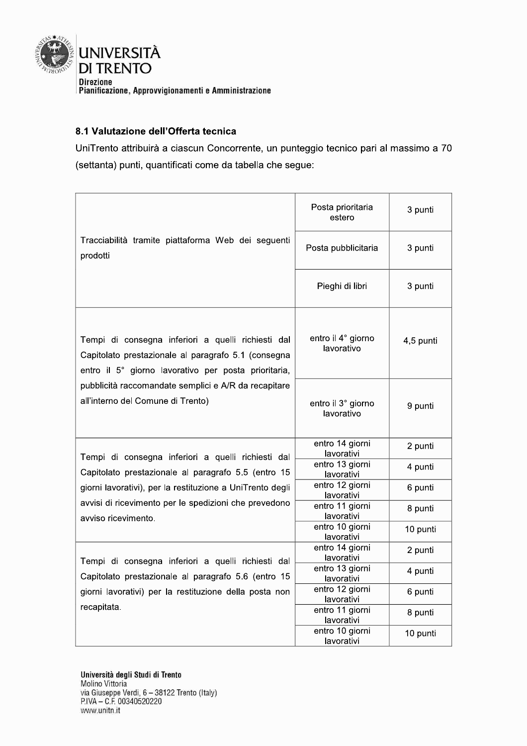

#### 8.1 Valutazione dell'Offerta tecnica

UniTrento attribuirà a ciascun Concorrente, un punteggio tecnico pari al massimo a 70 (settanta) punti, quantificati come da tabella che segue:

|                                                                                                                                                                   | Posta prioritaria<br>estero      | 3 punti   |
|-------------------------------------------------------------------------------------------------------------------------------------------------------------------|----------------------------------|-----------|
| Tracciabilità tramite piattaforma Web dei seguenti<br>prodotti                                                                                                    | Posta pubblicitaria              | 3 punti   |
|                                                                                                                                                                   | Pieghi di libri                  | 3 punti   |
| Tempi di consegna inferiori a quelli richiesti dal<br>Capitolato prestazionale al paragrafo 5.1 (consegna<br>entro il 5° giorno lavorativo per posta prioritaria, | entro il 4° giorno<br>lavorativo | 4,5 punti |
| pubblicità raccomandate semplici e A/R da recapitare<br>all'interno del Comune di Trento)                                                                         | entro il 3° giorno<br>lavorativo | 9 punti   |
| Tempi di consegna inferiori a quelli richiesti dal                                                                                                                | entro 14 giorni<br>lavorativi    | 2 punti   |
| Capitolato prestazionale al paragrafo 5.5 (entro 15                                                                                                               | entro 13 giorni<br>lavorativi    | 4 punti   |
| giorni lavorativi), per la restituzione a UniTrento degli                                                                                                         | entro 12 giorni<br>lavorativi    | 6 punti   |
| avvisi di ricevimento per le spedizioni che prevedono<br>avviso ricevimento.                                                                                      | entro 11 giorni<br>lavorativi    | 8 punti   |
|                                                                                                                                                                   | entro 10 giorni<br>lavorativi    | 10 punti  |
| Tempi di consegna inferiori a quelli richiesti dal                                                                                                                | entro 14 giorni<br>lavorativi    | 2 punti   |
| Capitolato prestazionale al paragrafo 5.6 (entro 15                                                                                                               | entro 13 giorni<br>lavorativi    | 4 punti   |
| giorni lavorativi) per la restituzione della posta non                                                                                                            | entro 12 giorni<br>lavorativi    | 6 punti   |
| recapitata.                                                                                                                                                       | entro 11 giorni<br>lavorativi    | 8 punti   |
|                                                                                                                                                                   | entro 10 giorni<br>lavorativi    | 10 punti  |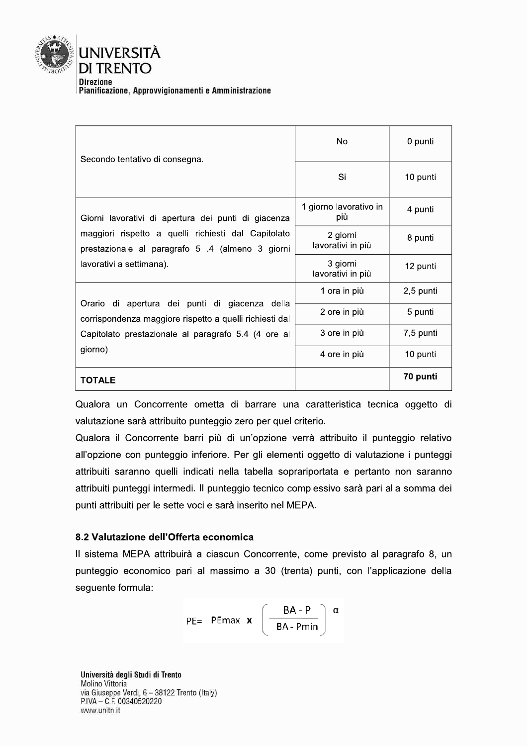

| Secondo tentativo di consegna.                                                                            | No                            | 0 punti   |
|-----------------------------------------------------------------------------------------------------------|-------------------------------|-----------|
|                                                                                                           | Si                            | 10 punti  |
| Giorni lavorativi di apertura dei punti di giacenza                                                       | 1 giorno lavorativo in<br>più | 4 punti   |
| maggiori rispetto a quelli richiesti dal Capitolato<br>prestazionale al paragrafo 5 .4 (almeno 3 giorni   | 2 giorni<br>lavorativi in più | 8 punti   |
| lavorativi a settimana).                                                                                  | 3 giorni<br>lavorativi in più | 12 punti  |
|                                                                                                           | 1 ora in più                  | 2,5 punti |
| Orario di apertura dei punti di giacenza della<br>corrispondenza maggiore rispetto a quelli richiesti dal | 2 ore in più                  | 5 punti   |
| Capitolato prestazionale al paragrafo 5.4 (4 ore al                                                       | 3 ore in più                  | 7,5 punti |
| giorno).                                                                                                  | 4 ore in più                  | 10 punti  |
| <b>TOTALE</b>                                                                                             |                               | 70 punti  |

Qualora un Concorrente ometta di barrare una caratteristica tecnica oggetto di valutazione sarà attribuito punteggio zero per quel criterio.

Qualora il Concorrente barri più di un'opzione verrà attribuito il punteggio relativo all'opzione con punteggio inferiore. Per gli elementi oggetto di valutazione i punteggi attribuiti saranno quelli indicati nella tabella soprariportata e pertanto non saranno attribuiti punteggi intermedi. Il punteggio tecnico complessivo sarà pari alla somma dei punti attribuiti per le sette voci e sarà inserito nel MEPA.

#### 8.2 Valutazione dell'Offerta economica

Il sistema MEPA attribuirà a ciascun Concorrente, come previsto al paragrafo 8, un punteggio economico pari al massimo a 30 (trenta) punti, con l'applicazione della seguente formula:

$$
PE = \n\begin{array}{ccc}\n\text{PEmax} & \textbf{x} & \left( \frac{BA - P}{BA - Pmin} \right) & \alpha\n\end{array}
$$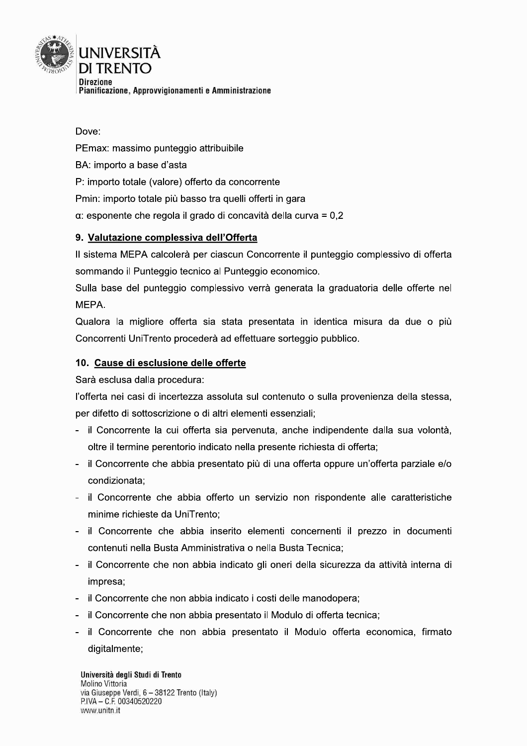

Dove: PEmax: massimo punteggio attribuibile BA: importo a base d'asta P: importo totale (valore) offerto da concorrente Pmin: importo totale più basso tra quelli offerti in gara  $\alpha$ : esponente che regola il grado di concavità della curva = 0,2

#### 9. Valutazione complessiva dell'Offerta

Il sistema MEPA calcolerà per ciascun Concorrente il punteggio complessivo di offerta sommando il Punteggio tecnico al Punteggio economico.

Sulla base del punteggio complessivo verrà generata la graduatoria delle offerte nel MEPA.

Qualora la migliore offerta sia stata presentata in identica misura da due o più Concorrenti UniTrento procederà ad effettuare sorteggio pubblico.

#### 10. Cause di esclusione delle offerte

Sarà esclusa dalla procedura:

l'offerta nei casi di incertezza assoluta sul contenuto o sulla provenienza della stessa, per difetto di sottoscrizione o di altri elementi essenziali;

- il Concorrente la cui offerta sia pervenuta, anche indipendente dalla sua volontà, oltre il termine perentorio indicato nella presente richiesta di offerta;
- il Concorrente che abbia presentato più di una offerta oppure un'offerta parziale e/o condizionata:
- il Concorrente che abbia offerto un servizio non rispondente alle caratteristiche minime richieste da UniTrento;
- il Concorrente che abbia inserito elementi concernenti il prezzo in documenti contenuti nella Busta Amministrativa o nella Busta Tecnica;
- il Concorrente che non abbia indicato gli oneri della sicurezza da attività interna di impresa:
- il Concorrente che non abbia indicato i costi delle manodopera;
- il Concorrente che non abbia presentato il Modulo di offerta tecnica;
- il Concorrente che non abbia presentato il Modulo offerta economica, firmato digitalmente;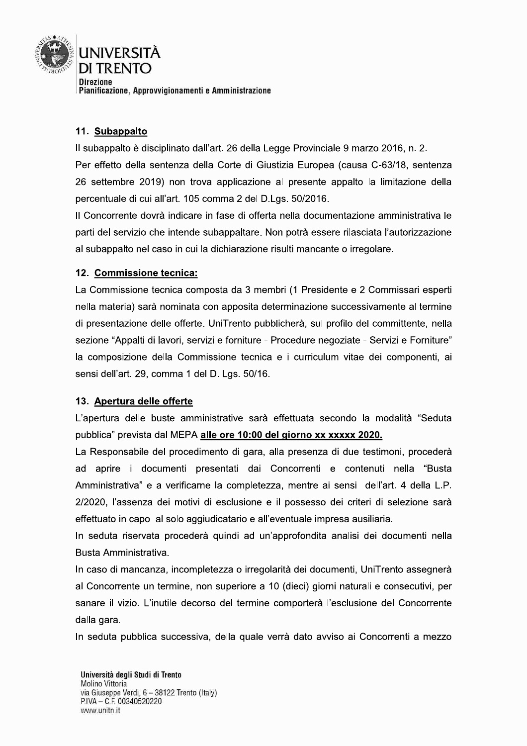

#### 11. Subappalto

Il subappalto è disciplinato dall'art. 26 della Legge Provinciale 9 marzo 2016, n. 2. Per effetto della sentenza della Corte di Giustizia Europea (causa C-63/18, sentenza 26 settembre 2019) non trova applicazione al presente appalto la limitazione della percentuale di cui all'art. 105 comma 2 del D.Lgs. 50/2016.

Il Concorrente dovrà indicare in fase di offerta nella documentazione amministrativa le parti del servizio che intende subappaltare. Non potrà essere rilasciata l'autorizzazione al subappalto nel caso in cui la dichiarazione risulti mancante o irregolare.

#### 12. Commissione tecnica:

La Commissione tecnica composta da 3 membri (1 Presidente e 2 Commissari esperti nella materia) sarà nominata con apposita determinazione successivamente al termine di presentazione delle offerte. UniTrento pubblicherà, sul profilo del committente, nella sezione "Appalti di lavori, servizi e forniture - Procedure negoziate - Servizi e Forniture" la composizione della Commissione tecnica e i curriculum vitae dei componenti, ai sensi dell'art. 29, comma 1 del D. Lgs. 50/16.

#### 13. Apertura delle offerte

L'apertura delle buste amministrative sarà effettuata secondo la modalità "Seduta pubblica" prevista dal MEPA alle ore 10:00 del giorno xx xxxxx 2020.

La Responsabile del procedimento di gara, alla presenza di due testimoni, procederà ad aprire i documenti presentati dai Concorrenti e contenuti nella "Busta Amministrativa" e a verificarne la completezza, mentre ai sensi dell'art. 4 della L.P. 2/2020, l'assenza dei motivi di esclusione e il possesso dei criteri di selezione sarà effettuato in capo al solo aggiudicatario e all'eventuale impresa ausiliaria.

In seduta riservata procederà quindi ad un'approfondita analisi dei documenti nella Busta Amministrativa.

In caso di mancanza, incompletezza o irregolarità dei documenti, UniTrento assegnerà al Concorrente un termine, non superiore a 10 (dieci) giorni naturali e consecutivi, per sanare il vizio. L'inutile decorso del termine comporterà l'esclusione del Concorrente dalla gara.

In seduta pubblica successiva, della quale verrà dato avviso ai Concorrenti a mezzo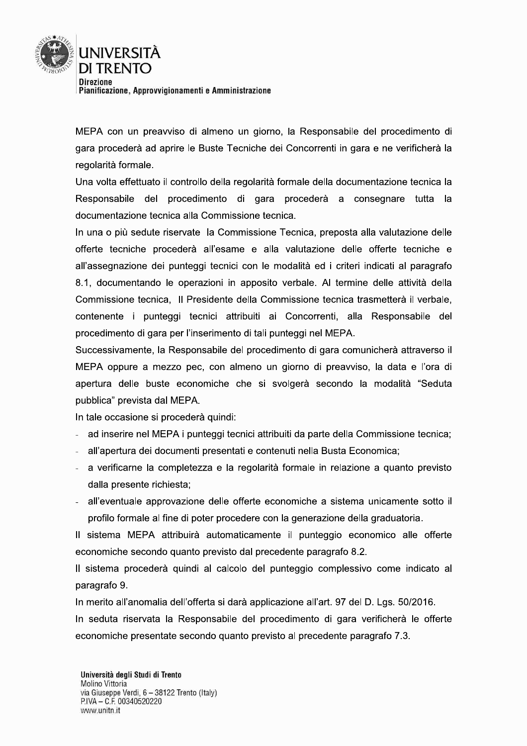

MEPA con un preavviso di almeno un giorno, la Responsabile del procedimento di gara procederà ad aprire le Buste Tecniche dei Concorrenti in gara e ne verificherà la regolarità formale.

Una volta effettuato il controllo della regolarità formale della documentazione tecnica la Responsabile del procedimento di gara procederà a consegnare tutta la documentazione tecnica alla Commissione tecnica.

In una o più sedute riservate la Commissione Tecnica, preposta alla valutazione delle offerte tecniche procederà all'esame e alla valutazione delle offerte tecniche e all'assegnazione dei punteggi tecnici con le modalità ed i criteri indicati al paragrafo 8.1, documentando le operazioni in apposito verbale. Al termine delle attività della Commissione tecnica, Il Presidente della Commissione tecnica trasmetterà il verbale, contenente i punteggi tecnici attribuiti ai Concorrenti, alla Responsabile del procedimento di gara per l'inserimento di tali punteggi nel MEPA.

Successivamente, la Responsabile del procedimento di gara comunicherà attraverso il MEPA oppure a mezzo pec, con almeno un giorno di preavviso, la data e l'ora di apertura delle buste economiche che si svolgerà secondo la modalità "Seduta pubblica" prevista dal MEPA.

In tale occasione si procederà quindi:

- ad inserire nel MEPA i punteggi tecnici attribuiti da parte della Commissione tecnica;
- all'apertura dei documenti presentati e contenuti nella Busta Economica;
- a verificarne la completezza e la regolarità formale in relazione a quanto previsto dalla presente richiesta:
- all'eventuale approvazione delle offerte economiche a sistema unicamente sotto il profilo formale al fine di poter procedere con la generazione della graduatoria.

Il sistema MEPA attribuirà automaticamente il punteggio economico alle offerte economiche secondo quanto previsto dal precedente paragrafo 8.2.

Il sistema procederà quindi al calcolo del punteggio complessivo come indicato al paragrafo 9.

In merito all'anomalia dell'offerta si darà applicazione all'art. 97 del D. Lgs. 50/2016.

In seduta riservata la Responsabile del procedimento di gara verificherà le offerte economiche presentate secondo quanto previsto al precedente paragrafo 7.3.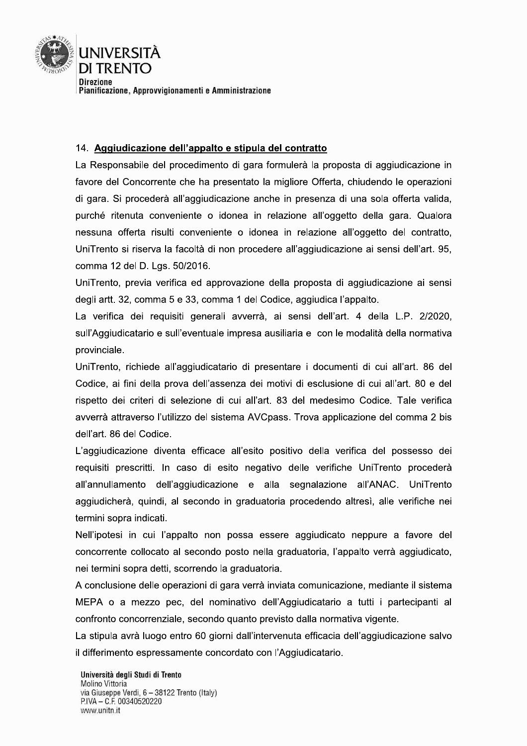

#### 14. Aggiudicazione dell'appalto e stipula del contratto

La Responsabile del procedimento di gara formulerà la proposta di aggiudicazione in favore del Concorrente che ha presentato la migliore Offerta, chiudendo le operazioni di gara. Si procederà all'aggiudicazione anche in presenza di una sola offerta valida, purché ritenuta conveniente o idonea in relazione all'oggetto della gara. Qualora nessuna offerta risulti conveniente o idonea in relazione all'oggetto del contratto, UniTrento si riserva la facoltà di non procedere all'aggiudicazione ai sensi dell'art. 95, comma 12 del D. Lgs. 50/2016.

UniTrento, previa verifica ed approvazione della proposta di aggiudicazione ai sensi degli artt. 32, comma 5 e 33, comma 1 del Codice, aggiudica l'appalto.

La verifica dei requisiti generali avverrà, ai sensi dell'art. 4 della L.P. 2/2020, sull'Aggiudicatario e sull'eventuale impresa ausiliaria e con le modalità della normativa provinciale.

UniTrento, richiede all'aggiudicatario di presentare i documenti di cui all'art. 86 del Codice, ai fini della prova dell'assenza dei motivi di esclusione di cui all'art. 80 e del rispetto dei criteri di selezione di cui all'art. 83 del medesimo Codice. Tale verifica avverrà attraverso l'utilizzo del sistema AVCpass. Trova applicazione del comma 2 bis dell'art. 86 del Codice.

L'aggiudicazione diventa efficace all'esito positivo della verifica del possesso dei requisiti prescritti. In caso di esito negativo delle verifiche UniTrento procederà all'annullamento dell'aggiudicazione e alla segnalazione all'ANAC. UniTrento aggiudicherà, quindi, al secondo in graduatoria procedendo altresì, alle verifiche nei termini sopra indicati.

Nell'ipotesi in cui l'appalto non possa essere aggiudicato neppure a favore del concorrente collocato al secondo posto nella graduatoria, l'appalto verrà aggiudicato, nei termini sopra detti, scorrendo la graduatoria.

A conclusione delle operazioni di gara verrà inviata comunicazione, mediante il sistema MEPA o a mezzo pec, del nominativo dell'Aggiudicatario a tutti i partecipanti al confronto concorrenziale, secondo quanto previsto dalla normativa vigente.

La stipula avrà luogo entro 60 giorni dall'intervenuta efficacia dell'aggiudicazione salvo il differimento espressamente concordato con l'Aggiudicatario.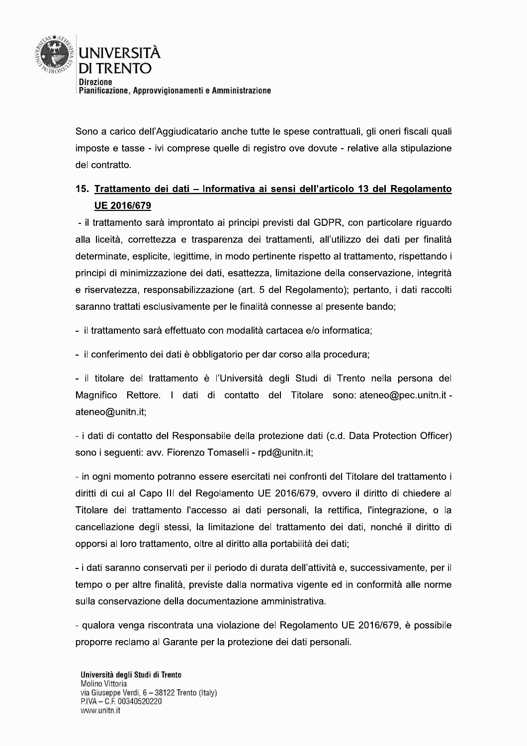

Sono a carico dell'Aggiudicatario anche tutte le spese contrattuali, gli oneri fiscali quali imposte e tasse - ivi comprese quelle di registro ove dovute - relative alla stipulazione del contratto.

# 15. Trattamento dei dati - Informativa ai sensi dell'articolo 13 del Regolamento UE 2016/679

- il trattamento sarà improntato ai principi previsti dal GDPR, con particolare riguardo alla liceità, correttezza e trasparenza dei trattamenti, all'utilizzo dei dati per finalità determinate, esplicite, legittime, in modo pertinente rispetto al trattamento, rispettando i principi di minimizzazione dei dati, esattezza, limitazione della conservazione, integrità e riservatezza, responsabilizzazione (art. 5 del Regolamento); pertanto, i dati raccolti saranno trattati esclusivamente per le finalità connesse al presente bando:

- il trattamento sarà effettuato con modalità cartacea e/o informatica:

- il conferimento dei dati è obbligatorio per dar corso alla procedura:

- il titolare del trattamento è l'Università degli Studi di Trento nella persona del Magnifico Rettore. I dati di contatto del Titolare sono: ateneo@pec.unitn.it ateneo@unitn.it;

- i dati di contatto del Responsabile della protezione dati (c.d. Data Protection Officer) sono i sequenti: avv. Fiorenzo Tomaselli - rpd@unitn.it;

- in ogni momento potranno essere esercitati nei confronti del Titolare del trattamento i diritti di cui al Capo III del Regolamento UE 2016/679, ovvero il diritto di chiedere al Titolare del trattamento l'accesso ai dati personali, la rettifica, l'integrazione, o la cancellazione degli stessi, la limitazione del trattamento dei dati, nonché il diritto di opporsi al loro trattamento, oltre al diritto alla portabilità dei dati;

- i dati saranno conservati per il periodo di durata dell'attività e, successivamente, per il tempo o per altre finalità, previste dalla normativa vigente ed in conformità alle norme sulla conservazione della documentazione amministrativa.

- qualora venga riscontrata una violazione del Regolamento UE 2016/679, è possibile proporre reclamo al Garante per la protezione dei dati personali.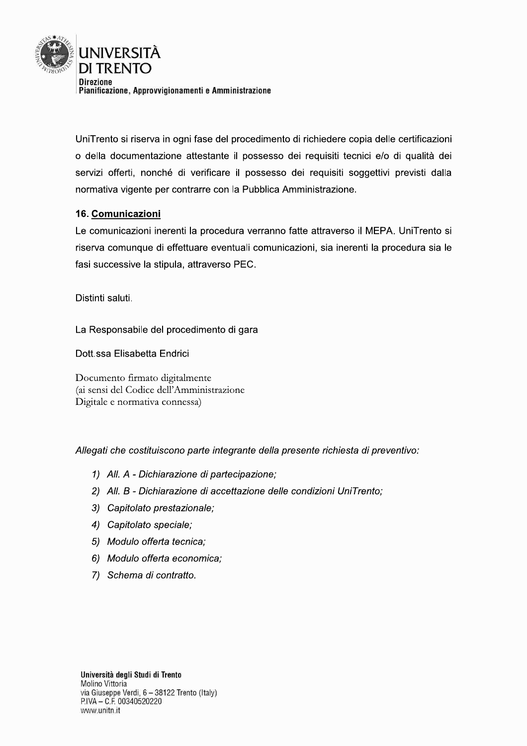

Uni i rento si riserva in ogni fase del procedimento di richiedere copia delle certificazioni o della documentazione attestante il possesso del requisiti tecnici e/o di qualità del servizi offerti, nonche di verificare il possesso dei requisiti soggettivi previsti dalla normativa vigente per contrarre con la Pubblica Amministrazione. UniTrento si riserva in ogni fase del procedimento di richiedere condiction della documentazione attestante il possesso dei requisiti te servizi offerti, nonché di verificare il possesso dei requisiti sonormativa vigente p

o il MEPA. Uni i rento si riserva comunque di effettuare eventuali comunicazioni, sia inerenti la procedura sia le  $\,$ rasi successive la stipula, attraverso PEC.

Distinti saluti.

La Responsabile del procedimento di gara

Dott.ssa Elisabetta Endrici

Documento firmato digitalmente (ai sensi del Codice dell'Amministrazione Digitale e normativa connessa)

Allegati che costituiscono parte integrante della presente richiesta di preventivo:

- 1) All.  $A$  Dichiarazione di partecipazione;
- 2) All. B Dichiarazione di accettazione delle condizioni UniTrento:
- 3) Capitolato prestazionale;
- 4) Capitolato speciale;
- 5) Modulo offerta tecnica:
- 6) Modulo offerta economica;
- 7) Schema di contratto.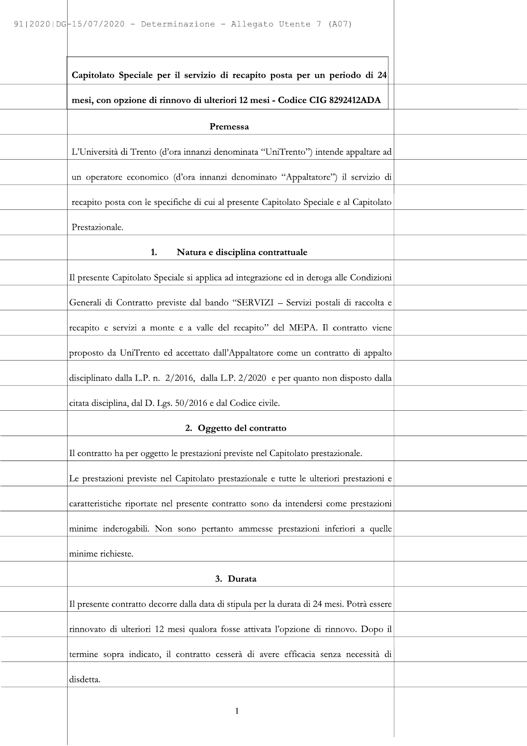| Capitolato Speciale per il servizio di recapito posta per un periodo di 24                 |  |
|--------------------------------------------------------------------------------------------|--|
| mesi, con opzione di rinnovo di ulteriori 12 mesi - Codice CIG 8292412ADA                  |  |
| Premessa                                                                                   |  |
| L'Università di Trento (d'ora innanzi denominata "UniTrento") intende appaltare ad         |  |
| un operatore economico (d'ora innanzi denominato "Appaltatore") il servizio di             |  |
| recapito posta con le specifiche di cui al presente Capitolato Speciale e al Capitolato    |  |
| Prestazionale.                                                                             |  |
| 1.<br>Natura e disciplina contrattuale                                                     |  |
| Il presente Capitolato Speciale si applica ad integrazione ed in deroga alle Condizioni    |  |
| Generali di Contratto previste dal bando "SERVIZI - Servizi postali di raccolta e          |  |
| recapito e servizi a monte e a valle del recapito" del MEPA. Il contratto viene            |  |
| proposto da UniTrento ed accettato dall'Appaltatore come un contratto di appalto           |  |
| disciplinato dalla L.P. n. 2/2016, dalla L.P. 2/2020 e per quanto non disposto dalla       |  |
| citata disciplina, dal D. Lgs. 50/2016 e dal Codice civile.                                |  |
| 2. Oggetto del contratto                                                                   |  |
| Il contratto ha per oggetto le prestazioni previste nel Capitolato prestazionale.          |  |
| Le prestazioni previste nel Capitolato prestazionale e tutte le ulteriori prestazioni e    |  |
| caratteristiche riportate nel presente contratto sono da intendersi come prestazioni       |  |
| minime inderogabili. Non sono pertanto ammesse prestazioni inferiori a quelle              |  |
| minime richieste.                                                                          |  |
| 3. Durata                                                                                  |  |
| Il presente contratto decorre dalla data di stipula per la durata di 24 mesi. Potrà essere |  |
| rinnovato di ulteriori 12 mesi qualora fosse attivata l'opzione di rinnovo. Dopo il        |  |
| termine sopra indicato, il contratto cesserà di avere efficacia senza necessità di         |  |
| disdetta.                                                                                  |  |
| 1                                                                                          |  |
|                                                                                            |  |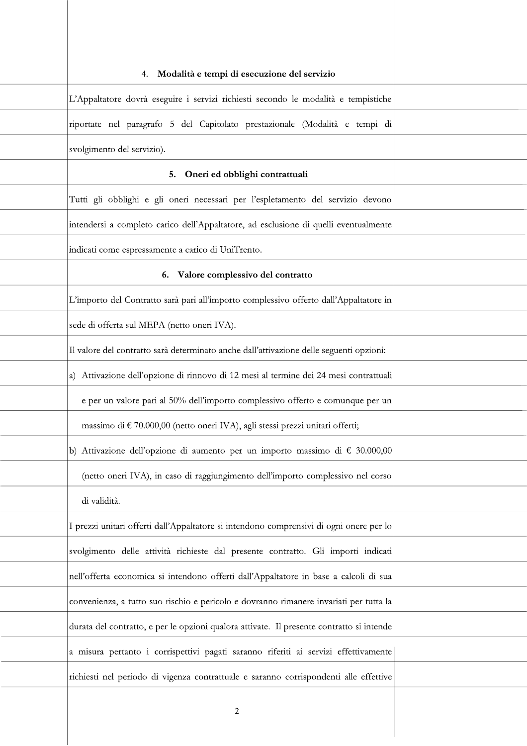| Modalità e tempi di esecuzione del servizio<br>4.                                         |  |
|-------------------------------------------------------------------------------------------|--|
| L'Appaltatore dovrà eseguire i servizi richiesti secondo le modalità e tempistiche        |  |
| riportate nel paragrafo 5 del Capitolato prestazionale (Modalità e tempi di               |  |
| svolgimento del servizio).                                                                |  |
| Oneri ed obblighi contrattuali<br>5.                                                      |  |
| Tutti gli obblighi e gli oneri necessari per l'espletamento del servizio devono           |  |
| intendersi a completo carico dell'Appaltatore, ad esclusione di quelli eventualmente      |  |
| indicati come espressamente a carico di UniTrento.                                        |  |
| Valore complessivo del contratto<br>6.                                                    |  |
| L'importo del Contratto sarà pari all'importo complessivo offerto dall'Appaltatore in     |  |
| sede di offerta sul MEPA (netto oneri IVA).                                               |  |
| Il valore del contratto sarà determinato anche dall'attivazione delle seguenti opzioni:   |  |
| a) Attivazione dell'opzione di rinnovo di 12 mesi al termine dei 24 mesi contrattuali     |  |
| e per un valore pari al 50% dell'importo complessivo offerto e comunque per un            |  |
| massimo di € 70.000,00 (netto oneri IVA), agli stessi prezzi unitari offerti;             |  |
| b) Attivazione dell'opzione di aumento per un importo massimo di € 30.000,00              |  |
| (netto oneri IVA), in caso di raggiungimento dell'importo complessivo nel corso           |  |
| di validità.                                                                              |  |
| I prezzi unitari offerti dall'Appaltatore si intendono comprensivi di ogni onere per lo   |  |
| svolgimento delle attività richieste dal presente contratto. Gli importi indicati         |  |
| nell'offerta economica si intendono offerti dall'Appaltatore in base a calcoli di sua     |  |
| convenienza, a tutto suo rischio e pericolo e dovranno rimanere invariati per tutta la    |  |
| durata del contratto, e per le opzioni qualora attivate. Il presente contratto si intende |  |
| a misura pertanto i corrispettivi pagati saranno riferiti ai servizi effettivamente       |  |
| richiesti nel periodo di vigenza contrattuale e saranno corrispondenti alle effettive     |  |
|                                                                                           |  |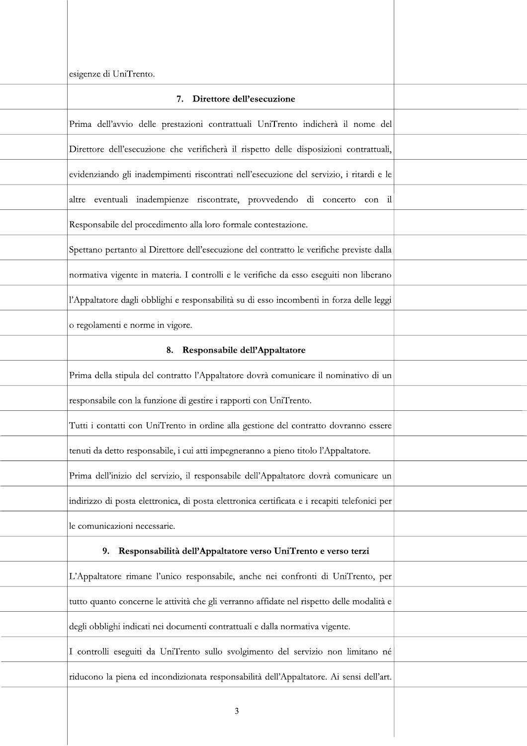| esigenze di UniTrento.                                                                       |  |
|----------------------------------------------------------------------------------------------|--|
| 7. Direttore dell'esecuzione                                                                 |  |
| Prima dell'avvio delle prestazioni contrattuali UniTrento indicherà il nome del              |  |
| Direttore dell'esecuzione che verificherà il rispetto delle disposizioni contrattuali,       |  |
| evidenziando gli inadempimenti riscontrati nell'esecuzione del servizio, i ritardi e le      |  |
| altre eventuali inadempienze riscontrate, provvedendo di concerto con il                     |  |
| Responsabile del procedimento alla loro formale contestazione.                               |  |
| Spettano pertanto al Direttore dell'esecuzione del contratto le verifiche previste dalla     |  |
| normativa vigente in materia. I controlli e le verifiche da esso eseguiti non liberano       |  |
| l'Appaltatore dagli obblighi e responsabilità su di esso incombenti in forza delle leggi     |  |
| o regolamenti e norme in vigore.                                                             |  |
| Responsabile dell'Appaltatore<br>8.                                                          |  |
| Prima della stipula del contratto l'Appaltatore dovrà comunicare il nominativo di un         |  |
| responsabile con la funzione di gestire i rapporti con UniTrento.                            |  |
| Tutti i contatti con UniTrento in ordine alla gestione del contratto dovranno essere         |  |
| tenuti da detto responsabile, i cui atti impegneranno a pieno titolo l'Appaltatore.          |  |
| Prima dell'inizio del servizio, il responsabile dell'Appaltatore dovrà comunicare un         |  |
| indirizzo di posta elettronica, di posta elettronica certificata e i recapiti telefonici per |  |
| le comunicazioni necessarie.                                                                 |  |
| Responsabilità dell'Appaltatore verso UniTrento e verso terzi<br>9.                          |  |
| L'Appaltatore rimane l'unico responsabile, anche nei confronti di UniTrento, per             |  |
| tutto quanto concerne le attività che gli verranno affidate nel rispetto delle modalità e    |  |
| degli obblighi indicati nei documenti contrattuali e dalla normativa vigente.                |  |
| I controlli eseguiti da UniTrento sullo svolgimento del servizio non limitano né             |  |
| riducono la piena ed incondizionata responsabilità dell'Appaltatore. Ai sensi dell'art.      |  |
| 3                                                                                            |  |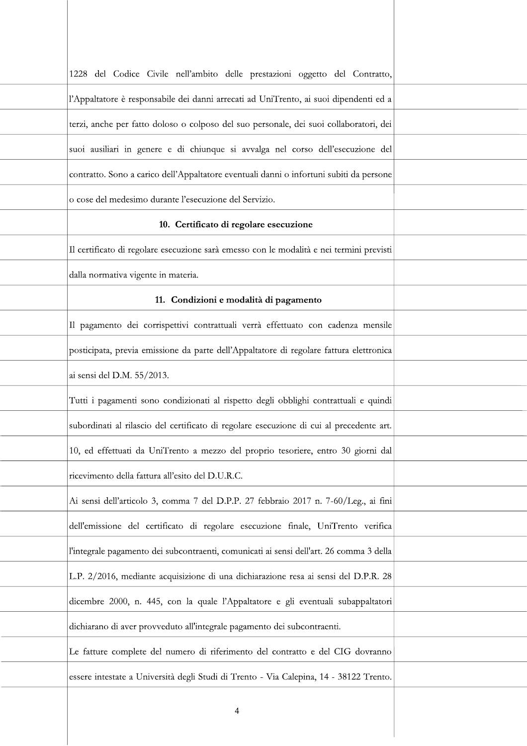| 1228 del Codice Civile nell'ambito delle prestazioni oggetto del Contratto,              |  |
|------------------------------------------------------------------------------------------|--|
| l'Appaltatore è responsabile dei danni arrecati ad UniTrento, ai suoi dipendenti ed a    |  |
| terzi, anche per fatto doloso o colposo del suo personale, dei suoi collaboratori, dei   |  |
| suoi ausiliari in genere e di chiunque si avvalga nel corso dell'esecuzione del          |  |
| contratto. Sono a carico dell'Appaltatore eventuali danni o infortuni subiti da persone  |  |
| o cose del medesimo durante l'esecuzione del Servizio.                                   |  |
| 10. Certificato di regolare esecuzione                                                   |  |
| Il certificato di regolare esecuzione sarà emesso con le modalità e nei termini previsti |  |
| dalla normativa vigente in materia.                                                      |  |
| 11. Condizioni e modalità di pagamento                                                   |  |
| Il pagamento dei corrispettivi contrattuali verrà effettuato con cadenza mensile         |  |
| posticipata, previa emissione da parte dell'Appaltatore di regolare fattura elettronica  |  |
| ai sensi del D.M. 55/2013.                                                               |  |
| Tutti i pagamenti sono condizionati al rispetto degli obblighi contrattuali e quindi     |  |
| subordinati al rilascio del certificato di regolare esecuzione di cui al precedente art. |  |
| 10, ed effettuati da UniTrento a mezzo del proprio tesoriere, entro 30 giorni dal        |  |
| ricevimento della fattura all'esito del D.U.R.C.                                         |  |
| Ai sensi dell'articolo 3, comma 7 del D.P.P. 27 febbraio 2017 n. 7-60/Leg., ai fini      |  |
| dell'emissione del certificato di regolare esecuzione finale, UniTrento verifica         |  |
| l'integrale pagamento dei subcontraenti, comunicati ai sensi dell'art. 26 comma 3 della  |  |
| L.P. 2/2016, mediante acquisizione di una dichiarazione resa ai sensi del D.P.R. 28      |  |
| dicembre 2000, n. 445, con la quale l'Appaltatore e gli eventuali subappaltatori         |  |
| dichiarano di aver provveduto all'integrale pagamento dei subcontraenti.                 |  |
| Le fatture complete del numero di riferimento del contratto e del CIG dovranno           |  |
| essere intestate a Università degli Studi di Trento - Via Calepina, 14 - 38122 Trento.   |  |
|                                                                                          |  |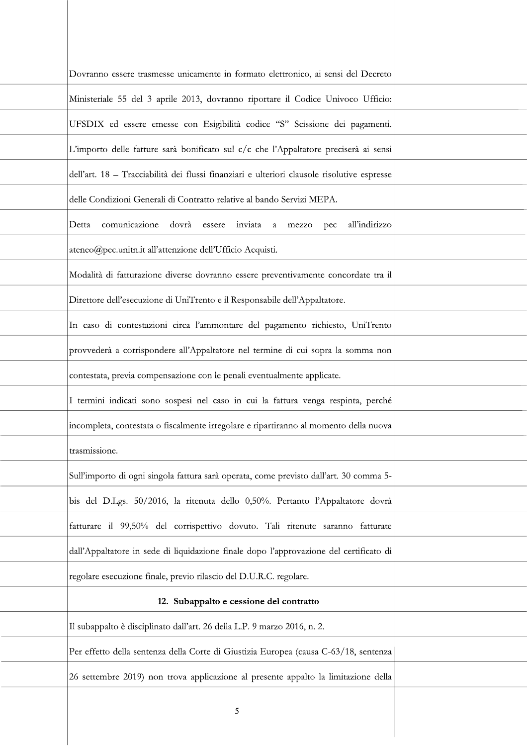| Dovranno essere trasmesse unicamente in formato elettronico, ai sensi del Decreto           |  |
|---------------------------------------------------------------------------------------------|--|
| Ministeriale 55 del 3 aprile 2013, dovranno riportare il Codice Univoco Ufficio:            |  |
| UFSDIX ed essere emesse con Esigibilità codice "S" Scissione dei pagamenti.                 |  |
| L'importo delle fatture sarà bonificato sul c/c che l'Appaltatore preciserà ai sensi        |  |
| dell'art. 18 - Tracciabilità dei flussi finanziari e ulteriori clausole risolutive espresse |  |
| delle Condizioni Generali di Contratto relative al bando Servizi MEPA.                      |  |
| comunicazione dovrà essere inviata a mezzo pec<br>all'indirizzo<br>Detta                    |  |
| ateneo@pec.unitn.it all'attenzione dell'Ufficio Acquisti.                                   |  |
| Modalità di fatturazione diverse dovranno essere preventivamente concordate tra il          |  |
| Direttore dell'esecuzione di UniTrento e il Responsabile dell'Appaltatore.                  |  |
| In caso di contestazioni circa l'ammontare del pagamento richiesto, UniTrento               |  |
| provvederà a corrispondere all'Appaltatore nel termine di cui sopra la somma non            |  |
| contestata, previa compensazione con le penali eventualmente applicate.                     |  |
| I termini indicati sono sospesi nel caso in cui la fattura venga respinta, perché           |  |
| incompleta, contestata o fiscalmente irregolare e ripartiranno al momento della nuova       |  |
| trasmissione.                                                                               |  |
| Sull'importo di ogni singola fattura sarà operata, come previsto dall'art. 30 comma 5-      |  |
| bis del D.Lgs. 50/2016, la ritenuta dello 0,50%. Pertanto l'Appaltatore dovrà               |  |
| fatturare il 99,50% del corrispettivo dovuto. Tali ritenute saranno fatturate               |  |
| dall'Appaltatore in sede di liquidazione finale dopo l'approvazione del certificato di      |  |
| regolare esecuzione finale, previo rilascio del D.U.R.C. regolare.                          |  |
| 12. Subappalto e cessione del contratto                                                     |  |
| Il subappalto è disciplinato dall'art. 26 della L.P. 9 marzo 2016, n. 2.                    |  |
| Per effetto della sentenza della Corte di Giustizia Europea (causa C-63/18, sentenza        |  |
| 26 settembre 2019) non trova applicazione al presente appalto la limitazione della          |  |
| 5                                                                                           |  |
|                                                                                             |  |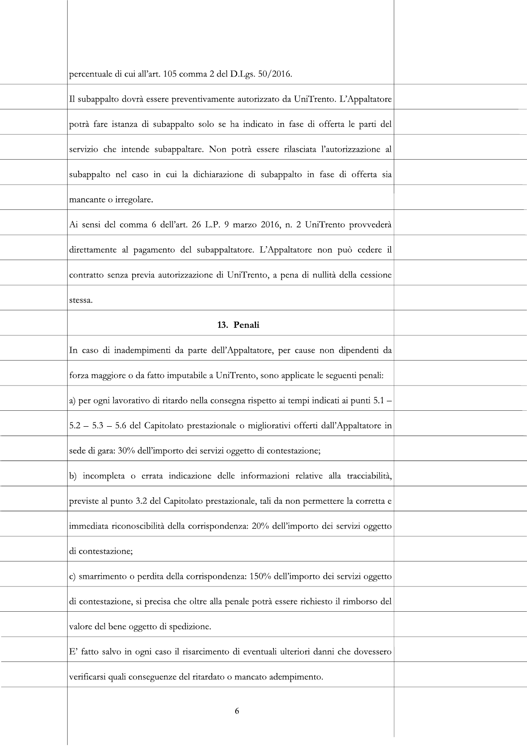| percentuale di cui all'art. 105 comma 2 del D.Lgs. 50/2016.                                |  |
|--------------------------------------------------------------------------------------------|--|
| Il subappalto dovrà essere preventivamente autorizzato da UniTrento. L'Appaltatore         |  |
| potrà fare istanza di subappalto solo se ha indicato in fase di offerta le parti del       |  |
| servizio che intende subappaltare. Non potrà essere rilasciata l'autorizzazione al         |  |
| subappalto nel caso in cui la dichiarazione di subappalto in fase di offerta sia           |  |
| mancante o irregolare.                                                                     |  |
| Ai sensi del comma 6 dell'art. 26 L.P. 9 marzo 2016, n. 2 UniTrento provvederà             |  |
| direttamente al pagamento del subappaltatore. L'Appaltatore non può cedere il              |  |
| contratto senza previa autorizzazione di UniTrento, a pena di nullità della cessione       |  |
| stessa.                                                                                    |  |
| 13. Penali                                                                                 |  |
| In caso di inadempimenti da parte dell'Appaltatore, per cause non dipendenti da            |  |
| forza maggiore o da fatto imputabile a UniTrento, sono applicate le seguenti penali:       |  |
| a) per ogni lavorativo di ritardo nella consegna rispetto ai tempi indicati ai punti 5.1 - |  |
| 5.2 - 5.3 - 5.6 del Capitolato prestazionale o migliorativi offerti dall'Appaltatore in    |  |
| sede di gara: 30% dell'importo dei servizi oggetto di contestazione;                       |  |
| b) incompleta o errata indicazione delle informazioni relative alla tracciabilità,         |  |
| previste al punto 3.2 del Capitolato prestazionale, tali da non permettere la corretta e   |  |
| immediata riconoscibilità della corrispondenza: 20% dell'importo dei servizi oggetto       |  |
| di contestazione;                                                                          |  |
| c) smarrimento o perdita della corrispondenza: 150% dell'importo dei servizi oggetto       |  |
| di contestazione, si precisa che oltre alla penale potrà essere richiesto il rimborso del  |  |
| valore del bene oggetto di spedizione.                                                     |  |
| E' fatto salvo in ogni caso il risarcimento di eventuali ulteriori danni che dovessero     |  |
| verificarsi quali conseguenze del ritardato o mancato adempimento.                         |  |
| 6                                                                                          |  |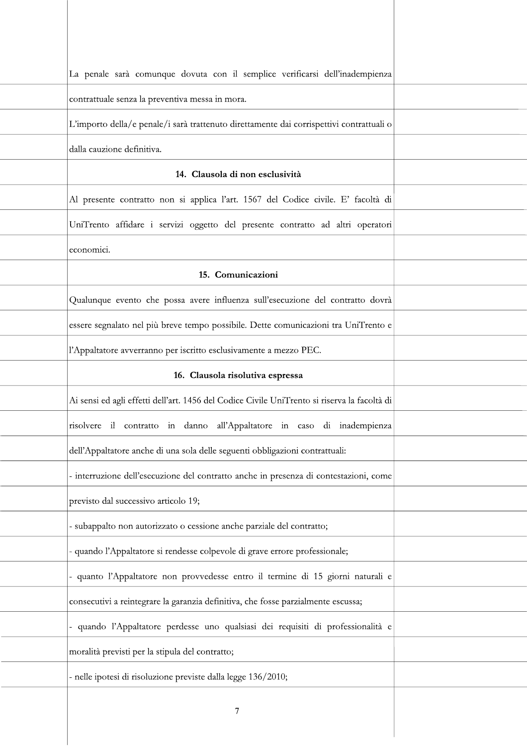| La penale sarà comunque dovuta con il semplice verificarsi dell'inadempienza                 |  |
|----------------------------------------------------------------------------------------------|--|
| contrattuale senza la preventiva messa in mora.                                              |  |
| L'importo della/e penale/i sarà trattenuto direttamente dai corrispettivi contrattuali o     |  |
| dalla cauzione definitiva.                                                                   |  |
| 14. Clausola di non esclusività                                                              |  |
| Al presente contratto non si applica l'art. 1567 del Codice civile. E' facoltà di            |  |
| UniTrento affidare i servizi oggetto del presente contratto ad altri operatori               |  |
| economici.                                                                                   |  |
| 15. Comunicazioni                                                                            |  |
| Qualunque evento che possa avere influenza sull'esecuzione del contratto dovrà               |  |
| essere segnalato nel più breve tempo possibile. Dette comunicazioni tra UniTrento e          |  |
| l'Appaltatore avverranno per iscritto esclusivamente a mezzo PEC.                            |  |
| 16. Clausola risolutiva espressa                                                             |  |
| Ai sensi ed agli effetti dell'art. 1456 del Codice Civile UniTrento si riserva la facoltà di |  |
| risolvere il contratto in danno all'Appaltatore in caso di inadempienza                      |  |
| dell'Appaltatore anche di una sola delle seguenti obbligazioni contrattuali:                 |  |
| - interruzione dell'esecuzione del contratto anche in presenza di contestazioni, come        |  |
| previsto dal successivo articolo 19;                                                         |  |
| - subappalto non autorizzato o cessione anche parziale del contratto;                        |  |
| - quando l'Appaltatore si rendesse colpevole di grave errore professionale;                  |  |
| quanto l'Appaltatore non provvedesse entro il termine di 15 giorni naturali e                |  |
| consecutivi a reintegrare la garanzia definitiva, che fosse parzialmente escussa;            |  |
| quando l'Appaltatore perdesse uno qualsiasi dei requisiti di professionalità e               |  |
| moralità previsti per la stipula del contratto;                                              |  |
| - nelle ipotesi di risoluzione previste dalla legge 136/2010;                                |  |
| 7                                                                                            |  |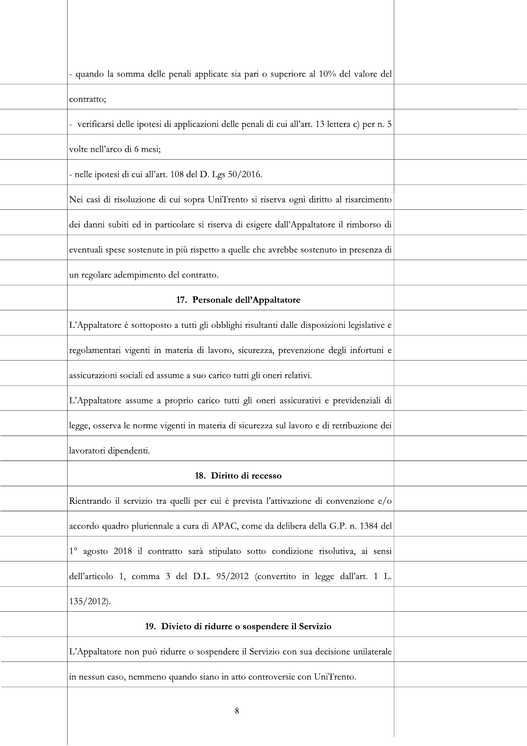| - quando la somma delle penali applicate sia pari o superiore al 10% del valore del             |  |
|-------------------------------------------------------------------------------------------------|--|
| contratto;                                                                                      |  |
| - verificarsi delle ipotesi di applicazioni delle penali di cui all'art. 13 lettera c) per n. 5 |  |
| volte nell'arco di 6 mesi;                                                                      |  |
| - nelle ipotesi di cui all'art. 108 del D. Lgs 50/2016.                                         |  |
| Nei casi di risoluzione di cui sopra UniTrento si riserva ogni diritto al risarcimento          |  |
| dei danni subiti ed in particolare si riserva di esigere dall'Appaltatore il rimborso di        |  |
| eventuali spese sostenute in più rispetto a quelle che avrebbe sostenuto in presenza di         |  |
| un regolare adempimento del contratto.                                                          |  |
| 17. Personale dell'Appaltatore                                                                  |  |
| L'Appaltatore è sottoposto a tutti gli obblighi risultanti dalle disposizioni legislative e     |  |
| regolamentari vigenti in materia di lavoro, sicurezza, prevenzione degli infortuni e            |  |
| assicurazioni sociali ed assume a suo carico tutti gli oneri relativi.                          |  |
| L'Appaltatore assume a proprio carico tutti gli oneri assicurativi e previdenziali di           |  |
| legge, osserva le norme vigenti in materia di sicurezza sul lavoro e di retribuzione dei        |  |
| lavoratori dipendenti.                                                                          |  |
| 18. Diritto di recesso                                                                          |  |
| Rientrando il servizio tra quelli per cui è prevista l'attivazione di convenzione e/o           |  |
| accordo quadro pluriennale a cura di APAC, come da delibera della G.P. n. 1384 del              |  |
| 1º agosto 2018 il contratto sarà stipulato sotto condizione risolutiva, ai sensi                |  |
| dell'articolo 1, comma 3 del D.L. 95/2012 (convertito in legge dall'art. 1 L.                   |  |
| $135/2012$ ).                                                                                   |  |
| 19. Divieto di ridurre o sospendere il Servizio                                                 |  |
| L'Appaltatore non può ridurre o sospendere il Servizio con sua decisione unilaterale            |  |
| in nessun caso, nemmeno quando siano in atto controversie con UniTrento.                        |  |
| 8                                                                                               |  |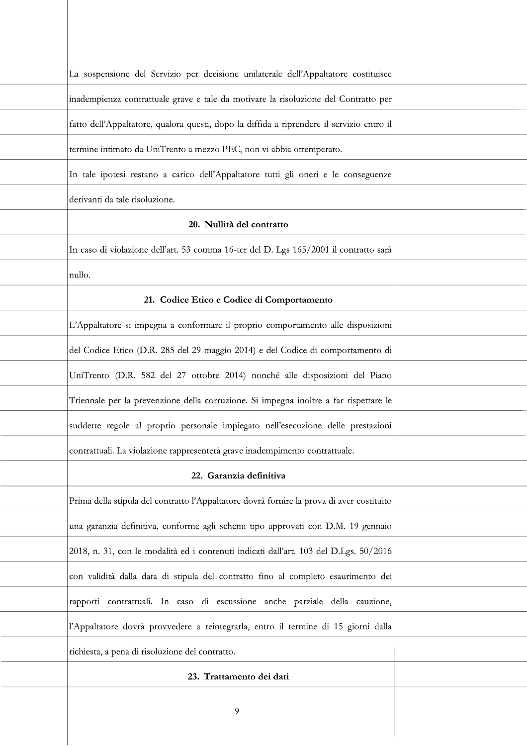| La sospensione del Servizio per decisione unilaterale dell'Appaltatore costituisce        |  |
|-------------------------------------------------------------------------------------------|--|
| inadempienza contrattuale grave e tale da motivare la risoluzione del Contratto per       |  |
| fatto dell'Appaltatore, qualora questi, dopo la diffida a riprendere il servizio entro il |  |
| termine intimato da UniTrento a mezzo PEC, non vi abbia ottemperato.                      |  |
| In tale ipotesi restano a carico dell'Appaltatore tutti gli oneri e le conseguenze        |  |
| derivanti da tale risoluzione.                                                            |  |
| 20. Nullità del contratto                                                                 |  |
| In caso di violazione dell'art. 53 comma 16-ter del D. Lgs 165/2001 il contratto sarà     |  |
| nullo.                                                                                    |  |
| 21. Codice Etico e Codice di Comportamento                                                |  |
| L'Appaltatore si impegna a conformare il proprio comportamento alle disposizioni          |  |
| del Codice Etico (D.R. 285 del 29 maggio 2014) e del Codice di comportamento di           |  |
| UniTrento (D.R. 582 del 27 ottobre 2014) nonché alle disposizioni del Piano               |  |
| Triennale per la prevenzione della corruzione. Si impegna inoltre a far rispettare le     |  |
| suddette regole al proprio personale impiegato nell'esecuzione delle prestazioni          |  |
| contrattuali. La violazione rappresenterà grave inadempimento contrattuale.               |  |
| 22. Garanzia definitiva                                                                   |  |
| Prima della stipula del contratto l'Appaltatore dovrà fornire la prova di aver costituito |  |
| una garanzia definitiva, conforme agli schemi tipo approvati con D.M. 19 gennaio          |  |
| 2018, n. 31, con le modalità ed i contenuti indicati dall'art. 103 del D.Lgs. 50/2016     |  |
| con validità dalla data di stipula del contratto fino al completo esaurimento dei         |  |
| rapporti contrattuali. In caso di escussione anche parziale della cauzione,               |  |
| l'Appaltatore dovrà provvedere a reintegrarla, entro il termine di 15 giorni dalla        |  |
| richiesta, a pena di risoluzione del contratto.                                           |  |
| 23. Trattamento dei dati                                                                  |  |
| 9                                                                                         |  |
|                                                                                           |  |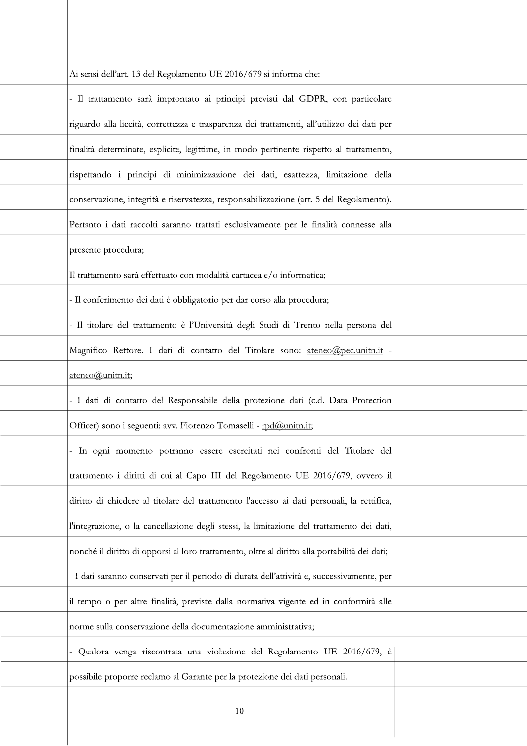| Ai sensi dell'art. 13 del Regolamento UE 2016/679 si informa che:                             |  |
|-----------------------------------------------------------------------------------------------|--|
| - Il trattamento sarà improntato ai principi previsti dal GDPR, con particolare               |  |
| riguardo alla liceità, correttezza e trasparenza dei trattamenti, all'utilizzo dei dati per   |  |
| finalità determinate, esplicite, legittime, in modo pertinente rispetto al trattamento,       |  |
| rispettando i principi di minimizzazione dei dati, esattezza, limitazione della               |  |
| conservazione, integrità e riservatezza, responsabilizzazione (art. 5 del Regolamento).       |  |
| Pertanto i dati raccolti saranno trattati esclusivamente per le finalità connesse alla        |  |
| presente procedura;                                                                           |  |
| Il trattamento sarà effettuato con modalità cartacea e/o informatica;                         |  |
| - Il conferimento dei dati è obbligatorio per dar corso alla procedura;                       |  |
| - Il titolare del trattamento è l'Università degli Studi di Trento nella persona del          |  |
| Magnifico Rettore. I dati di contatto del Titolare sono: ateneo@pec.unitn.it -                |  |
| ateneo@unitn.it;                                                                              |  |
| - I dati di contatto del Responsabile della protezione dati (c.d. Data Protection             |  |
| Officer) sono i seguenti: avv. Fiorenzo Tomaselli - rpd@unitn.it;                             |  |
| - In ogni momento potranno essere esercitati nei confronti del Titolare del                   |  |
| trattamento i diritti di cui al Capo III del Regolamento UE 2016/679, ovvero il               |  |
| diritto di chiedere al titolare del trattamento l'accesso ai dati personali, la rettifica,    |  |
| l'integrazione, o la cancellazione degli stessi, la limitazione del trattamento dei dati,     |  |
| nonché il diritto di opporsi al loro trattamento, oltre al diritto alla portabilità dei dati; |  |
| - I dati saranno conservati per il periodo di durata dell'attività e, successivamente, per    |  |
| il tempo o per altre finalità, previste dalla normativa vigente ed in conformità alle         |  |
| norme sulla conservazione della documentazione amministrativa;                                |  |
| Qualora venga riscontrata una violazione del Regolamento UE 2016/679, è                       |  |
| possibile proporre reclamo al Garante per la protezione dei dati personali.                   |  |
| 10                                                                                            |  |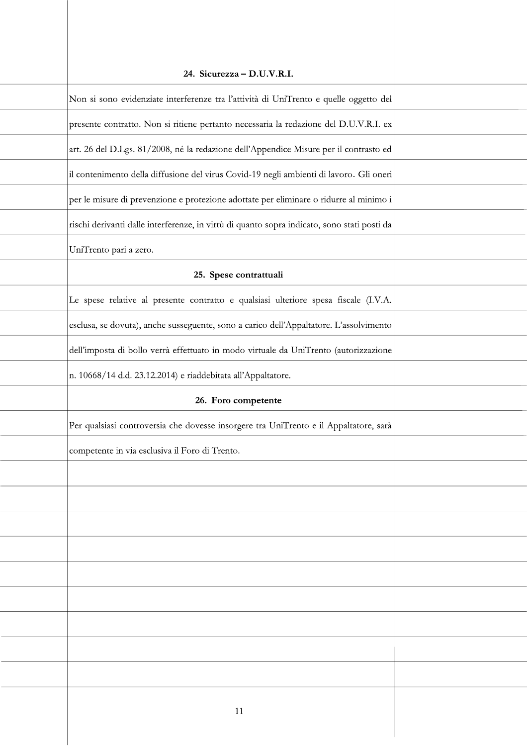| 24. Sicurezza – D.U.V.R.I.                                                                  |  |
|---------------------------------------------------------------------------------------------|--|
| Non si sono evidenziate interferenze tra l'attività di UniTrento e quelle oggetto del       |  |
| presente contratto. Non si ritiene pertanto necessaria la redazione del D.U.V.R.I. ex       |  |
| art. 26 del D.Lgs. 81/2008, né la redazione dell'Appendice Misure per il contrasto ed       |  |
| il contenimento della diffusione del virus Covid-19 negli ambienti di lavoro. Gli oneri     |  |
| per le misure di prevenzione e protezione adottate per eliminare o ridurre al minimo i      |  |
| rischi derivanti dalle interferenze, in virtù di quanto sopra indicato, sono stati posti da |  |
| UniTrento pari a zero.                                                                      |  |
| 25. Spese contrattuali                                                                      |  |
| Le spese relative al presente contratto e qualsiasi ulteriore spesa fiscale (I.V.A.         |  |
| esclusa, se dovuta), anche susseguente, sono a carico dell'Appaltatore. L'assolvimento      |  |
| dell'imposta di bollo verrà effettuato in modo virtuale da UniTrento (autorizzazione        |  |
| n. 10668/14 d.d. 23.12.2014) e riaddebitata all'Appaltatore.                                |  |
| 26. Foro competente                                                                         |  |
| Per qualsiasi controversia che dovesse insorgere tra UniTrento e il Appaltatore, sarà       |  |
| competente in via esclusiva il Foro di Trento.                                              |  |
|                                                                                             |  |
|                                                                                             |  |
|                                                                                             |  |
|                                                                                             |  |
|                                                                                             |  |
|                                                                                             |  |
|                                                                                             |  |
|                                                                                             |  |
|                                                                                             |  |
|                                                                                             |  |
| 11                                                                                          |  |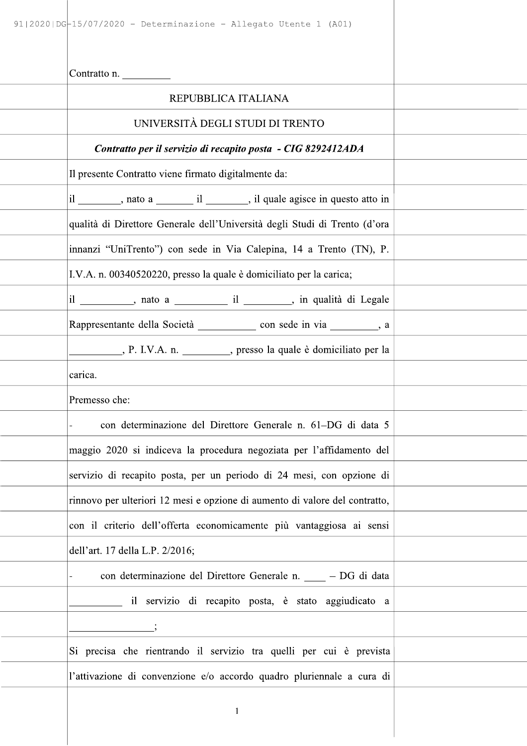| $91 2020 DG-15/07/2020$ - Determinazione - Allegato Utente 1 (A01)               |  |
|----------------------------------------------------------------------------------|--|
| Contratto n.                                                                     |  |
| REPUBBLICA ITALIANA                                                              |  |
| UNIVERSITÀ DEGLI STUDI DI TRENTO                                                 |  |
| Contratto per il servizio di recapito posta - CIG 8292412ADA                     |  |
| Il presente Contratto viene firmato digitalmente da:                             |  |
|                                                                                  |  |
| qualità di Direttore Generale dell'Università degli Studi di Trento (d'ora       |  |
| innanzi "UniTrento") con sede in Via Calepina, 14 a Trento (TN), P.              |  |
| I.V.A. n. 00340520220, presso la quale è domiciliato per la carica;              |  |
| il __________, nato a _______________ il _________, in qualità di Legale         |  |
| Rappresentante della Società ___________________ con sede in via ____________, a |  |
| P. I.V.A. n. _________, presso la quale è domiciliato per la                     |  |
| carica.                                                                          |  |
| Premesso che:                                                                    |  |
| con determinazione del Direttore Generale n. 61-DG di data 5                     |  |
| maggio 2020 si indiceva la procedura negoziata per l'affidamento del             |  |
| servizio di recapito posta, per un periodo di 24 mesi, con opzione di            |  |
| rinnovo per ulteriori 12 mesi e opzione di aumento di valore del contratto,      |  |
| con il criterio dell'offerta economicamente più vantaggiosa ai sensi             |  |
| dell'art. 17 della L.P. 2/2016;                                                  |  |
| con determinazione del Direttore Generale n. ____ – DG di data<br>-              |  |
| il servizio di recapito posta, è stato aggiudicato a                             |  |
|                                                                                  |  |
| Si precisa che rientrando il servizio tra quelli per cui è prevista              |  |
| l'attivazione di convenzione e/o accordo quadro pluriennale a cura di            |  |
| $\mathbf{1}$                                                                     |  |
|                                                                                  |  |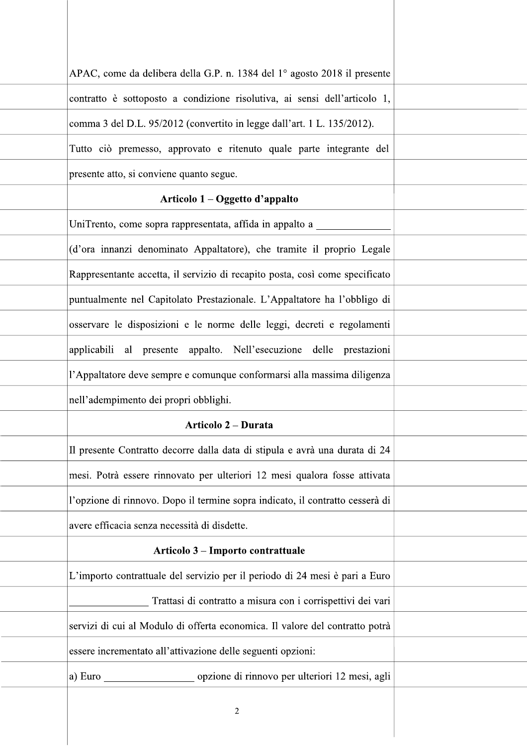| APAC, come da delibera della G.P. n. 1384 del 1º agosto 2018 il presente      |  |
|-------------------------------------------------------------------------------|--|
| contratto è sottoposto a condizione risolutiva, ai sensi dell'articolo 1,     |  |
| comma 3 del D.L. 95/2012 (convertito in legge dall'art. 1 L. 135/2012).       |  |
| Tutto ciò premesso, approvato e ritenuto quale parte integrante del           |  |
| presente atto, si conviene quanto segue.                                      |  |
| Articolo 1 – Oggetto d'appalto                                                |  |
| UniTrento, come sopra rappresentata, affida in appalto a                      |  |
| (d'ora innanzi denominato Appaltatore), che tramite il proprio Legale         |  |
| Rappresentante accetta, il servizio di recapito posta, così come specificato  |  |
| puntualmente nel Capitolato Prestazionale. L'Appaltatore ha l'obbligo di      |  |
| osservare le disposizioni e le norme delle leggi, decreti e regolamenti       |  |
| applicabili al presente appalto. Nell'esecuzione delle prestazioni            |  |
| l'Appaltatore deve sempre e comunque conformarsi alla massima diligenza       |  |
| nell'adempimento dei propri obblighi.                                         |  |
| <b>Articolo 2 – Durata</b>                                                    |  |
| Il presente Contratto decorre dalla data di stipula e avrà una durata di 24   |  |
| mesi. Potrà essere rinnovato per ulteriori 12 mesi qualora fosse attivata     |  |
| l'opzione di rinnovo. Dopo il termine sopra indicato, il contratto cesserà di |  |
| avere efficacia senza necessità di disdette.                                  |  |
| Articolo 3 – Importo contrattuale                                             |  |
| L'importo contrattuale del servizio per il periodo di 24 mesi è pari a Euro   |  |
| Trattasi di contratto a misura con i corrispettivi dei vari                   |  |
| servizi di cui al Modulo di offerta economica. Il valore del contratto potrà  |  |
| essere incrementato all'attivazione delle seguenti opzioni:                   |  |
| opzione di rinnovo per ulteriori 12 mesi, agli<br>a) Euro                     |  |
| $\overline{2}$                                                                |  |
|                                                                               |  |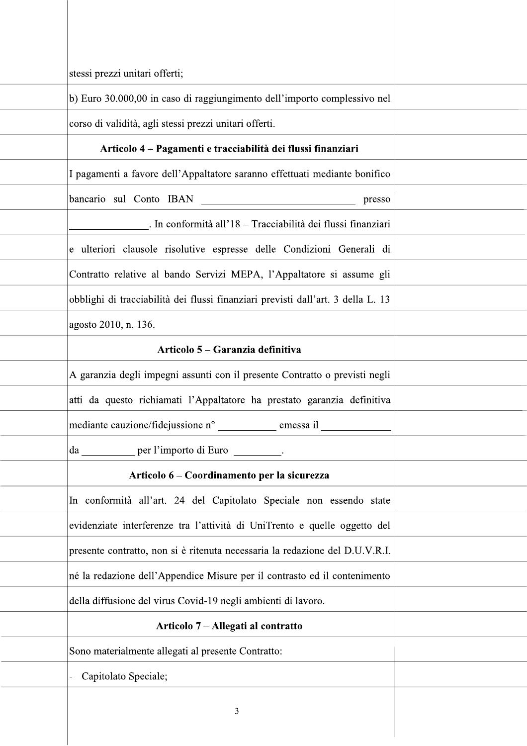| stessi prezzi unitari offerti;                                                   |  |
|----------------------------------------------------------------------------------|--|
| b) Euro 30.000,00 in caso di raggiungimento dell'importo complessivo nel         |  |
| corso di validità, agli stessi prezzi unitari offerti.                           |  |
| Articolo 4 – Pagamenti e tracciabilità dei flussi finanziari                     |  |
| I pagamenti a favore dell'Appaltatore saranno effettuati mediante bonifico       |  |
| bancario sul Conto IBAN<br>presso                                                |  |
| . In conformità all'18 – Tracciabilità dei flussi finanziari                     |  |
| e ulteriori clausole risolutive espresse delle Condizioni Generali di            |  |
| Contratto relative al bando Servizi MEPA, l'Appaltatore si assume gli            |  |
| obblighi di tracciabilità dei flussi finanziari previsti dall'art. 3 della L. 13 |  |
| agosto 2010, n. 136.                                                             |  |
| Articolo 5 – Garanzia definitiva                                                 |  |
| A garanzia degli impegni assunti con il presente Contratto o previsti negli      |  |
| atti da questo richiamati l'Appaltatore ha prestato garanzia definitiva          |  |
| mediante cauzione/fidejussione n° _____________ emessa il _                      |  |
| da __________ per l'importo di Euro _________.                                   |  |
| Articolo 6 – Coordinamento per la sicurezza                                      |  |
| In conformità all'art. 24 del Capitolato Speciale non essendo state              |  |
| evidenziate interferenze tra l'attività di UniTrento e quelle oggetto del        |  |
| presente contratto, non si è ritenuta necessaria la redazione del D.U.V.R.I.     |  |
| né la redazione dell'Appendice Misure per il contrasto ed il contenimento        |  |
| della diffusione del virus Covid-19 negli ambienti di lavoro.                    |  |
| Articolo 7 – Allegati al contratto                                               |  |
| Sono materialmente allegati al presente Contratto:                               |  |
| Capitolato Speciale;                                                             |  |
| 3                                                                                |  |
|                                                                                  |  |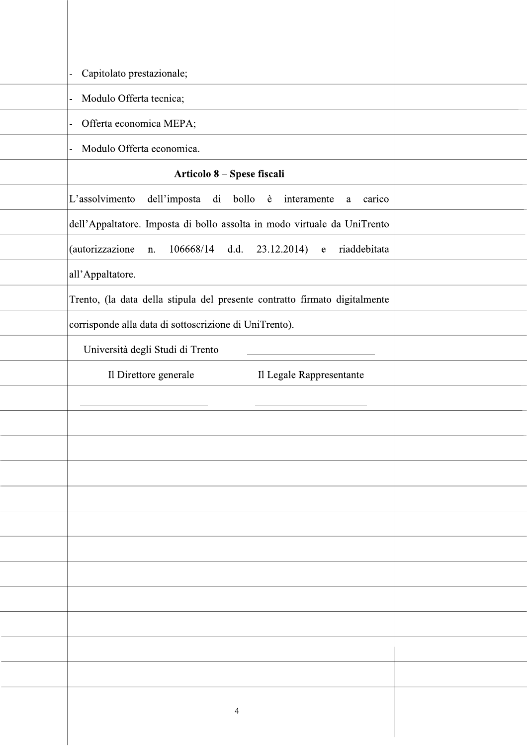| Capitolato prestazionale;                                                   |  |
|-----------------------------------------------------------------------------|--|
| Modulo Offerta tecnica;<br>$\blacksquare$                                   |  |
| Offerta economica MEPA;<br>$\overline{\phantom{0}}$                         |  |
| Modulo Offerta economica.<br>$\overline{a}$                                 |  |
| Articolo 8 - Spese fiscali                                                  |  |
| L'assolvimento<br>dell'imposta<br>di bollo è<br>interamente<br>carico<br>a  |  |
| dell'Appaltatore. Imposta di bollo assolta in modo virtuale da UniTrento    |  |
| (autorizzazione<br>$106668/14$ d.d.<br>riaddebitata<br>$23.12.2014$ e<br>n. |  |
| all'Appaltatore.                                                            |  |
| Trento, (la data della stipula del presente contratto firmato digitalmente  |  |
| corrisponde alla data di sottoscrizione di UniTrento).                      |  |
| Università degli Studi di Trento                                            |  |
| Il Direttore generale<br>Il Legale Rappresentante                           |  |
|                                                                             |  |
|                                                                             |  |
|                                                                             |  |
|                                                                             |  |
|                                                                             |  |
|                                                                             |  |
|                                                                             |  |
|                                                                             |  |
|                                                                             |  |
|                                                                             |  |
|                                                                             |  |
|                                                                             |  |
| 4                                                                           |  |
|                                                                             |  |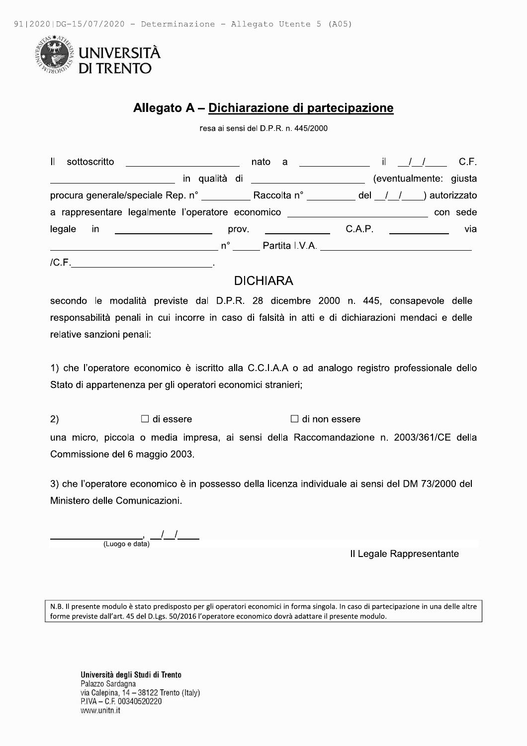

# Allegato A - Dichiarazione di partecipazione

resa ai sensi del D.P.R. n. 445/2000

| II.       | sottoscritto and a series and a series of the series of the series of the series of the series of the series o                                                                                                                                | nato a | the contract of the contract of |        |  | C.F.                    |
|-----------|-----------------------------------------------------------------------------------------------------------------------------------------------------------------------------------------------------------------------------------------------|--------|---------------------------------|--------|--|-------------------------|
|           | in qualità di __________________                                                                                                                                                                                                              |        |                                 |        |  | (eventualmente: giusta  |
|           | procura generale/speciale Rep. n° ____________ Raccolta n° _________                                                                                                                                                                          |        |                                 |        |  | del $/ /$ ) autorizzato |
|           | a rappresentare legalmente l'operatore economico                                                                                                                                                                                              |        |                                 |        |  | con sede                |
| legale in | prov.<br><u> 1989 - Johann Harry Harry Harry Harry Harry Harry Harry Harry Harry Harry Harry Harry Harry Harry Harry Harry Harry Harry Harry Harry Harry Harry Harry Harry Harry Harry Harry Harry Harry Harry Harry Harry Harry Harry Ha</u> |        |                                 | C.A.P. |  | via                     |
|           | $n^{\circ}$                                                                                                                                                                                                                                   |        | Partita I.V.A. ________________ |        |  |                         |

 $/C.F.$ 

# **DICHIARA**

secondo le modalità previste dal D.P.R. 28 dicembre 2000 n. 445, consapevole delle responsabilità penali in cui incorre in caso di falsità in atti e di dichiarazioni mendaci e delle relative sanzioni penali:

1) che l'operatore economico è iscritto alla C.C.I.A.A o ad analogo registro professionale dello Stato di appartenenza per gli operatori economici stranieri;

 $2)$  $\Box$  di essere  $\Box$  di non essere

una micro, piccola o media impresa, ai sensi della Raccomandazione n. 2003/361/CE della Commissione del 6 maggio 2003.

3) che l'operatore economico è in possesso della licenza individuale ai sensi del DM 73/2000 del Ministero delle Comunicazioni.

(Luogo e data)

Il Legale Rappresentante

N.B. Il presente modulo è stato predisposto per gli operatori economici in forma singola. In caso di partecipazione in una delle altre forme previste dall'art. 45 del D.Lgs. 50/2016 l'operatore economico dovrà adattare il presente modulo.

Università degli Studi di Trento Palazzo Sardagna via Calepina, 14 - 38122 Trento (Italy) P.IVA - C.F. 00340520220 www.unitn.it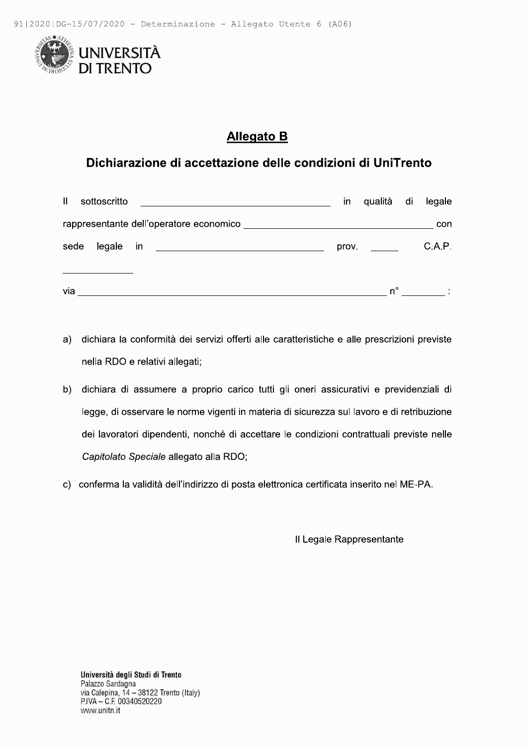

# **Allegato B**

# Dichiarazione di accettazione delle condizioni di UniTrento

| $\mathbf{I}$ | sottoscritto |                                                            |                                                                                                                      | ın    | qualità di legale |        |
|--------------|--------------|------------------------------------------------------------|----------------------------------------------------------------------------------------------------------------------|-------|-------------------|--------|
|              |              |                                                            | rappresentante dell'operatore economico<br>[2022] The Constantine September 2022 and 2022 and 2022 and 2022 and 2022 |       |                   | con    |
| sede         | legale in    | <u> 1989 - Andrea Brandenburg, Amerikaansk politiker (</u> |                                                                                                                      | prov. |                   | C.A.P. |
| via          |              |                                                            |                                                                                                                      |       | n°                |        |

- a) dichiara la conformità dei servizi offerti alle caratteristiche e alle prescrizioni previste nella RDO e relativi allegati;
- b) dichiara di assumere a proprio carico tutti gli oneri assicurativi e previdenziali di legge, di osservare le norme vigenti in materia di sicurezza sul lavoro e di retribuzione dei lavoratori dipendenti, nonché di accettare le condizioni contrattuali previste nelle Capitolato Speciale allegato alla RDO;
- c) conferma la validità dell'indirizzo di posta elettronica certificata inserito nel ME-PA.

Il Legale Rappresentante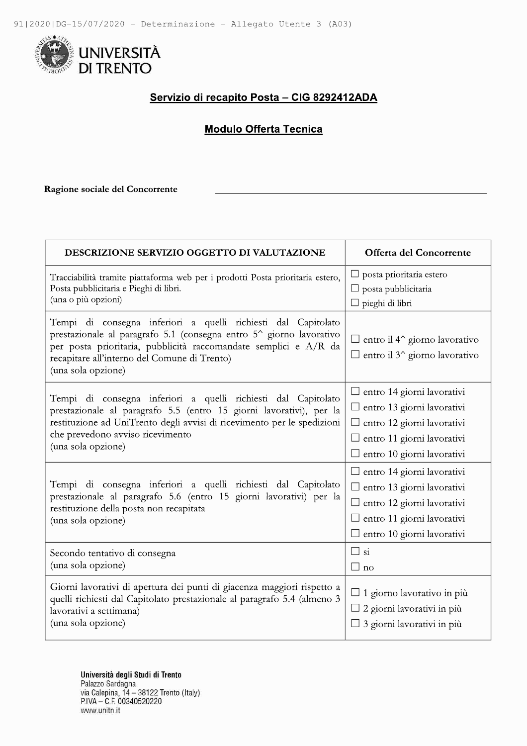

## Servizio di recapito Posta - CIG 8292412ADA

## **Modulo Offerta Tecnica**

Ragione sociale del Concorrente

| DESCRIZIONE SERVIZIO OGGETTO DI VALUTAZIONE                                                                                                                                                                                                                                    | Offerta del Concorrente                                                                                                                                                               |
|--------------------------------------------------------------------------------------------------------------------------------------------------------------------------------------------------------------------------------------------------------------------------------|---------------------------------------------------------------------------------------------------------------------------------------------------------------------------------------|
| Tracciabilità tramite piattaforma web per i prodotti Posta prioritaria estero,<br>Posta pubblicitaria e Pieghi di libri.<br>(una o più opzioni)                                                                                                                                | posta prioritaria estero<br>$\Box$ posta pubblicitaria<br>$\Box$ pieghi di libri                                                                                                      |
| Tempi di consegna inferiori a quelli richiesti dal Capitolato<br>prestazionale al paragrafo 5.1 (consegna entro 5^ giorno lavorativo<br>per posta prioritaria, pubblicità raccomandate semplici e A/R da<br>recapitare all'interno del Comune di Trento)<br>(una sola opzione) | $\Box$ entro il 4^ giorno lavorativo<br>$\Box$ entro il 3 <sup>^</sup> giorno lavorativo                                                                                              |
| Tempi di consegna inferiori a quelli richiesti dal Capitolato<br>prestazionale al paragrafo 5.5 (entro 15 giorni lavorativi), per la<br>restituzione ad UniTrento degli avvisi di ricevimento per le spedizioni<br>che prevedono avviso ricevimento<br>(una sola opzione)      | $\Box$ entro 14 giorni lavorativi<br>$\Box$ entro 13 giorni lavorativi<br>entro 12 giorni lavorativi<br>$\Box$ entro 11 giorni lavorativi<br>$\Box$ entro 10 giorni lavorativi        |
| Tempi di consegna inferiori a quelli richiesti dal Capitolato<br>prestazionale al paragrafo 5.6 (entro 15 giorni lavorativi) per la<br>restituzione della posta non recapitata<br>(una sola opzione)                                                                           | $\Box$ entro 14 giorni lavorativi<br>$\Box$ entro 13 giorni lavorativi<br>$\Box$ entro 12 giorni lavorativi<br>$\Box$ entro 11 giorni lavorativi<br>$\Box$ entro 10 giorni lavorativi |
| Secondo tentativo di consegna<br>(una sola opzione)                                                                                                                                                                                                                            | $\Box$ si<br>$\square$ no                                                                                                                                                             |
| Giorni lavorativi di apertura dei punti di giacenza maggiori rispetto a<br>quelli richiesti dal Capitolato prestazionale al paragrafo 5.4 (almeno 3<br>lavorativi a settimana)<br>(una sola opzione)                                                                           | $\Box$ 1 giorno lavorativo in più<br>2 giorni lavorativi in più<br>3 giorni lavorativi in più                                                                                         |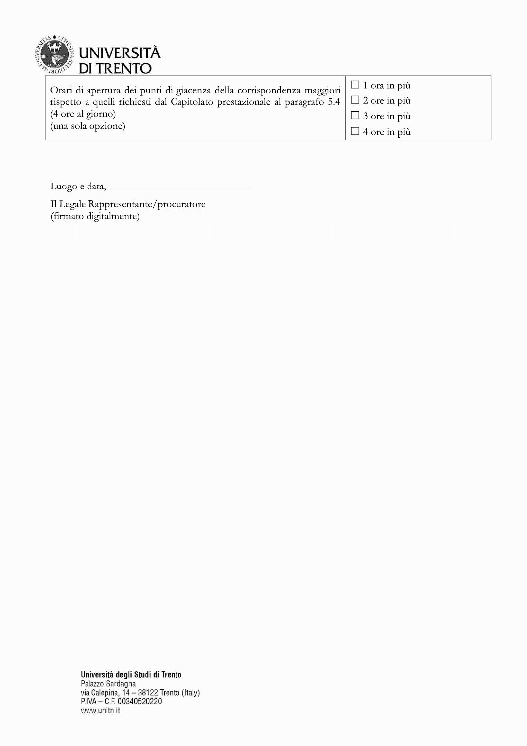

| Orari di apertura dei punti di giacenza della corrispondenza maggiori $\Box$ 1 ora in più     |                     |
|-----------------------------------------------------------------------------------------------|---------------------|
| rispetto a quelli richiesti dal Capitolato prestazionale al paragrafo 5.4 $\Box$ 2 ore in più |                     |
| (4 ore al giorno)                                                                             | $\Box$ 3 ore in più |
| (una sola opzione)                                                                            | $\Box$ 4 ore in più |

Il Legale Rappresentante/procuratore<br>(firmato digitalmente)

Università degli Studi di Trento<br>Palazzo Sardagna<br>via Calepina, 14 – 38122 Trento (Italy)<br>P.IVA – C.F. 00340520220 www.unitn.it